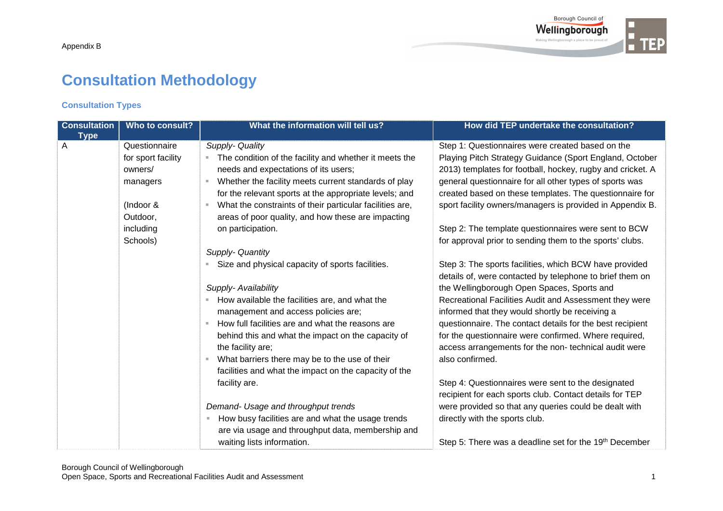# **Consultation Methodology**

## **Consultation Types**

| <b>Consultation</b> | Who to consult?    | What the information will tell us?                               | How did TEP undertake the consultation?                    |
|---------------------|--------------------|------------------------------------------------------------------|------------------------------------------------------------|
| <b>Type</b>         |                    |                                                                  |                                                            |
| A                   | Questionnaire      | Supply- Quality                                                  | Step 1: Questionnaires were created based on the           |
|                     | for sport facility | The condition of the facility and whether it meets the<br>ш      | Playing Pitch Strategy Guidance (Sport England, October    |
|                     | owners/            | needs and expectations of its users;                             | 2013) templates for football, hockey, rugby and cricket. A |
|                     | managers           | Whether the facility meets current standards of play             | general questionnaire for all other types of sports was    |
|                     |                    | for the relevant sports at the appropriate levels; and           | created based on these templates. The questionnaire for    |
|                     | (Indoor &          | What the constraints of their particular facilities are,<br>ш    | sport facility owners/managers is provided in Appendix B.  |
|                     | Outdoor,           | areas of poor quality, and how these are impacting               |                                                            |
|                     | including          | on participation.                                                | Step 2: The template questionnaires were sent to BCW       |
|                     | Schools)           |                                                                  | for approval prior to sending them to the sports' clubs.   |
|                     |                    | Supply- Quantity                                                 |                                                            |
|                     |                    | Size and physical capacity of sports facilities.                 | Step 3: The sports facilities, which BCW have provided     |
|                     |                    |                                                                  | details of, were contacted by telephone to brief them on   |
|                     |                    | Supply- Availability                                             | the Wellingborough Open Spaces, Sports and                 |
|                     |                    | How available the facilities are, and what the                   | Recreational Facilities Audit and Assessment they were     |
|                     |                    | management and access policies are;                              | informed that they would shortly be receiving a            |
|                     |                    | How full facilities are and what the reasons are                 | questionnaire. The contact details for the best recipient  |
|                     |                    | behind this and what the impact on the capacity of               | for the questionnaire were confirmed. Where required,      |
|                     |                    | the facility are;                                                | access arrangements for the non-technical audit were       |
|                     |                    | What barriers there may be to the use of their<br>$\mathbb{R}^d$ | also confirmed.                                            |
|                     |                    | facilities and what the impact on the capacity of the            |                                                            |
|                     |                    | facility are.                                                    | Step 4: Questionnaires were sent to the designated         |
|                     |                    |                                                                  | recipient for each sports club. Contact details for TEP    |
|                     |                    | Demand- Usage and throughput trends                              | were provided so that any queries could be dealt with      |
|                     |                    | How busy facilities are and what the usage trends                | directly with the sports club.                             |
|                     |                    | are via usage and throughput data, membership and                |                                                            |
|                     |                    | waiting lists information.                                       | Step 5: There was a deadline set for the 19th December     |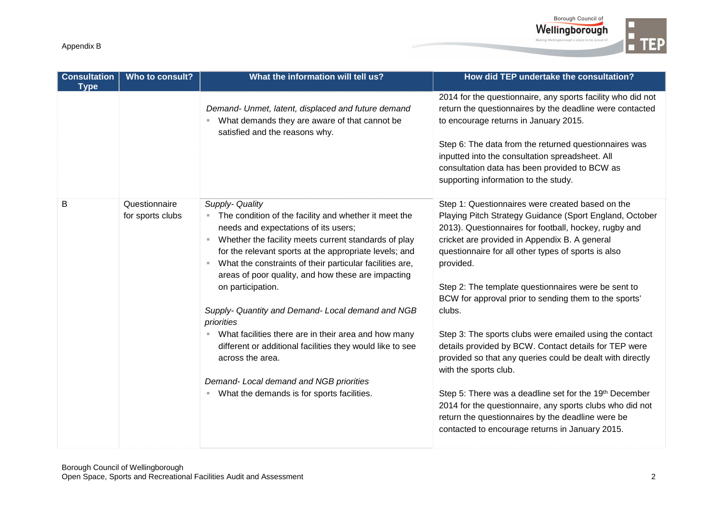



| <b>Consultation</b><br><b>Type</b> | Who to consult?                   | What the information will tell us?                                                                                                                                                                                                                                                                                                                                                                                                                                                                                                                                                                                                                                                             | How did TEP undertake the consultation?                                                                                                                                                                                                                                                                                                                                                                                                                                                                                                                                                                                                                                                                                                                                                                                                                     |
|------------------------------------|-----------------------------------|------------------------------------------------------------------------------------------------------------------------------------------------------------------------------------------------------------------------------------------------------------------------------------------------------------------------------------------------------------------------------------------------------------------------------------------------------------------------------------------------------------------------------------------------------------------------------------------------------------------------------------------------------------------------------------------------|-------------------------------------------------------------------------------------------------------------------------------------------------------------------------------------------------------------------------------------------------------------------------------------------------------------------------------------------------------------------------------------------------------------------------------------------------------------------------------------------------------------------------------------------------------------------------------------------------------------------------------------------------------------------------------------------------------------------------------------------------------------------------------------------------------------------------------------------------------------|
|                                    |                                   | Demand- Unmet, latent, displaced and future demand<br>What demands they are aware of that cannot be<br>satisfied and the reasons why.                                                                                                                                                                                                                                                                                                                                                                                                                                                                                                                                                          | 2014 for the questionnaire, any sports facility who did not<br>return the questionnaires by the deadline were contacted<br>to encourage returns in January 2015.<br>Step 6: The data from the returned questionnaires was<br>inputted into the consultation spreadsheet. All<br>consultation data has been provided to BCW as<br>supporting information to the study.                                                                                                                                                                                                                                                                                                                                                                                                                                                                                       |
| B                                  | Questionnaire<br>for sports clubs | Supply- Quality<br>The condition of the facility and whether it meet the<br>needs and expectations of its users;<br>Whether the facility meets current standards of play<br>×.<br>for the relevant sports at the appropriate levels; and<br>What the constraints of their particular facilities are,<br>ш<br>areas of poor quality, and how these are impacting<br>on participation.<br>Supply- Quantity and Demand- Local demand and NGB<br>priorities<br>What facilities there are in their area and how many<br>ш<br>different or additional facilities they would like to see<br>across the area.<br>Demand- Local demand and NGB priorities<br>What the demands is for sports facilities. | Step 1: Questionnaires were created based on the<br>Playing Pitch Strategy Guidance (Sport England, October<br>2013). Questionnaires for football, hockey, rugby and<br>cricket are provided in Appendix B. A general<br>questionnaire for all other types of sports is also<br>provided.<br>Step 2: The template questionnaires were be sent to<br>BCW for approval prior to sending them to the sports'<br>clubs.<br>Step 3: The sports clubs were emailed using the contact<br>details provided by BCW. Contact details for TEP were<br>provided so that any queries could be dealt with directly<br>with the sports club.<br>Step 5: There was a deadline set for the 19th December<br>2014 for the questionnaire, any sports clubs who did not<br>return the questionnaires by the deadline were be<br>contacted to encourage returns in January 2015. |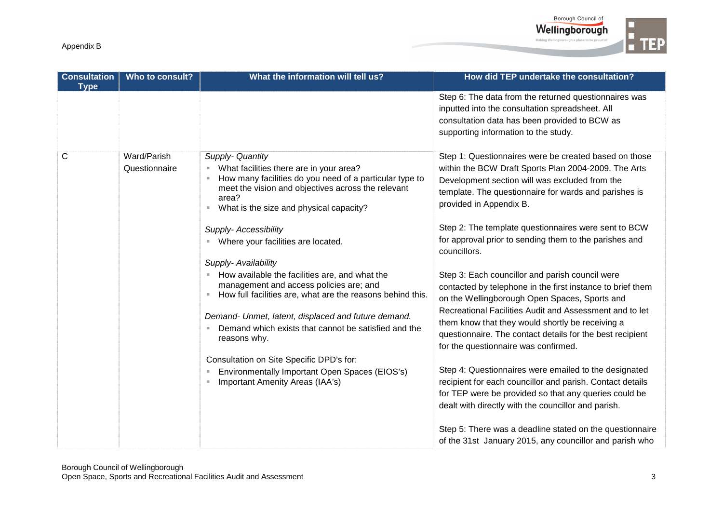

| <b>Consultation</b><br><b>Type</b> | Who to consult?              | What the information will tell us?                                                                                                                                                                                                                                                                                                                                                                                                                                                                                                                                                                                                                                                                                                                                | How did TEP undertake the consultation?                                                                                                                                                                                                                                                                                                                                                                                                                                                                                                                                                                                                                                                                                                                                                                                                                                                                                                                                                                                                                                                                                                  |
|------------------------------------|------------------------------|-------------------------------------------------------------------------------------------------------------------------------------------------------------------------------------------------------------------------------------------------------------------------------------------------------------------------------------------------------------------------------------------------------------------------------------------------------------------------------------------------------------------------------------------------------------------------------------------------------------------------------------------------------------------------------------------------------------------------------------------------------------------|------------------------------------------------------------------------------------------------------------------------------------------------------------------------------------------------------------------------------------------------------------------------------------------------------------------------------------------------------------------------------------------------------------------------------------------------------------------------------------------------------------------------------------------------------------------------------------------------------------------------------------------------------------------------------------------------------------------------------------------------------------------------------------------------------------------------------------------------------------------------------------------------------------------------------------------------------------------------------------------------------------------------------------------------------------------------------------------------------------------------------------------|
|                                    |                              |                                                                                                                                                                                                                                                                                                                                                                                                                                                                                                                                                                                                                                                                                                                                                                   | Step 6: The data from the returned questionnaires was<br>inputted into the consultation spreadsheet. All<br>consultation data has been provided to BCW as<br>supporting information to the study.                                                                                                                                                                                                                                                                                                                                                                                                                                                                                                                                                                                                                                                                                                                                                                                                                                                                                                                                        |
| $\mathsf{C}$                       | Ward/Parish<br>Questionnaire | Supply- Quantity<br>What facilities there are in your area?<br>×<br>How many facilities do you need of a particular type to<br>ш<br>meet the vision and objectives across the relevant<br>area?<br>What is the size and physical capacity?<br>Supply- Accessibility<br>Where your facilities are located.<br>Supply- Availability<br>How available the facilities are, and what the<br>management and access policies are; and<br>How full facilities are, what are the reasons behind this.<br>ш<br>Demand- Unmet, latent, displaced and future demand.<br>Demand which exists that cannot be satisfied and the<br>reasons why.<br>Consultation on Site Specific DPD's for:<br>Environmentally Important Open Spaces (EIOS's)<br>Important Amenity Areas (IAA's) | Step 1: Questionnaires were be created based on those<br>within the BCW Draft Sports Plan 2004-2009. The Arts<br>Development section will was excluded from the<br>template. The questionnaire for wards and parishes is<br>provided in Appendix B.<br>Step 2: The template questionnaires were sent to BCW<br>for approval prior to sending them to the parishes and<br>councillors.<br>Step 3: Each councillor and parish council were<br>contacted by telephone in the first instance to brief them<br>on the Wellingborough Open Spaces, Sports and<br>Recreational Facilities Audit and Assessment and to let<br>them know that they would shortly be receiving a<br>questionnaire. The contact details for the best recipient<br>for the questionnaire was confirmed.<br>Step 4: Questionnaires were emailed to the designated<br>recipient for each councillor and parish. Contact details<br>for TEP were be provided so that any queries could be<br>dealt with directly with the councillor and parish.<br>Step 5: There was a deadline stated on the questionnaire<br>of the 31st January 2015, any councillor and parish who |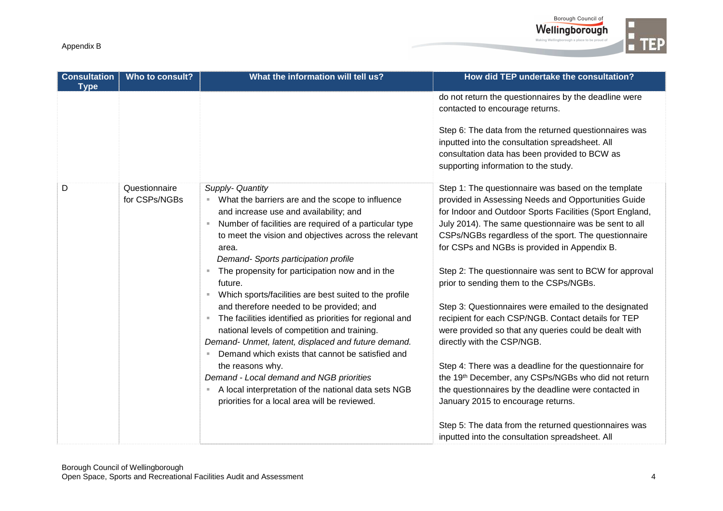

| <b>Consultation</b><br><b>Type</b> | Who to consult?                | What the information will tell us?                                                                                                                                                                                                                                                                                                                                                                                                                                                                                                                                                                                                                                                                                                                                                                                                                                    | How did TEP undertake the consultation?                                                                                                                                                                                                                                                                                                                                                                                                                                                                                                                                                                                                                                                                                                                                                                                                                                                                                                                                        |
|------------------------------------|--------------------------------|-----------------------------------------------------------------------------------------------------------------------------------------------------------------------------------------------------------------------------------------------------------------------------------------------------------------------------------------------------------------------------------------------------------------------------------------------------------------------------------------------------------------------------------------------------------------------------------------------------------------------------------------------------------------------------------------------------------------------------------------------------------------------------------------------------------------------------------------------------------------------|--------------------------------------------------------------------------------------------------------------------------------------------------------------------------------------------------------------------------------------------------------------------------------------------------------------------------------------------------------------------------------------------------------------------------------------------------------------------------------------------------------------------------------------------------------------------------------------------------------------------------------------------------------------------------------------------------------------------------------------------------------------------------------------------------------------------------------------------------------------------------------------------------------------------------------------------------------------------------------|
|                                    |                                |                                                                                                                                                                                                                                                                                                                                                                                                                                                                                                                                                                                                                                                                                                                                                                                                                                                                       | do not return the questionnaires by the deadline were<br>contacted to encourage returns.<br>Step 6: The data from the returned questionnaires was<br>inputted into the consultation spreadsheet. All<br>consultation data has been provided to BCW as<br>supporting information to the study.                                                                                                                                                                                                                                                                                                                                                                                                                                                                                                                                                                                                                                                                                  |
| D                                  | Questionnaire<br>for CSPs/NGBs | Supply- Quantity<br>What the barriers are and the scope to influence<br>ш<br>and increase use and availability; and<br>Number of facilities are required of a particular type<br>٠<br>to meet the vision and objectives across the relevant<br>area.<br>Demand- Sports participation profile<br>The propensity for participation now and in the<br>future.<br>Which sports/facilities are best suited to the profile<br>and therefore needed to be provided; and<br>The facilities identified as priorities for regional and<br>٠<br>national levels of competition and training.<br>Demand- Unmet, latent, displaced and future demand.<br>Demand which exists that cannot be satisfied and<br>the reasons why.<br>Demand - Local demand and NGB priorities<br>A local interpretation of the national data sets NGB<br>priorities for a local area will be reviewed. | Step 1: The questionnaire was based on the template<br>provided in Assessing Needs and Opportunities Guide<br>for Indoor and Outdoor Sports Facilities (Sport England,<br>July 2014). The same questionnaire was be sent to all<br>CSPs/NGBs regardless of the sport. The questionnaire<br>for CSPs and NGBs is provided in Appendix B.<br>Step 2: The questionnaire was sent to BCW for approval<br>prior to sending them to the CSPs/NGBs.<br>Step 3: Questionnaires were emailed to the designated<br>recipient for each CSP/NGB. Contact details for TEP<br>were provided so that any queries could be dealt with<br>directly with the CSP/NGB.<br>Step 4: There was a deadline for the questionnaire for<br>the 19th December, any CSPs/NGBs who did not return<br>the questionnaires by the deadline were contacted in<br>January 2015 to encourage returns.<br>Step 5: The data from the returned questionnaires was<br>inputted into the consultation spreadsheet. All |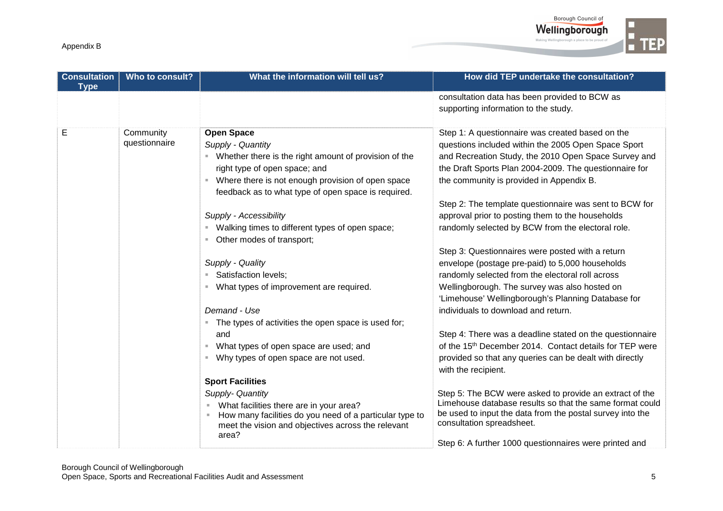

| <b>Consultation</b><br><b>Type</b> | Who to consult?            | What the information will tell us?                                                                                     | How did TEP undertake the consultation?                                                                             |
|------------------------------------|----------------------------|------------------------------------------------------------------------------------------------------------------------|---------------------------------------------------------------------------------------------------------------------|
|                                    |                            |                                                                                                                        | consultation data has been provided to BCW as                                                                       |
|                                    |                            |                                                                                                                        | supporting information to the study.                                                                                |
| Е                                  | Community<br>questionnaire | <b>Open Space</b><br>Supply - Quantity                                                                                 | Step 1: A questionnaire was created based on the<br>questions included within the 2005 Open Space Sport             |
|                                    |                            | Whether there is the right amount of provision of the<br>right type of open space; and                                 | and Recreation Study, the 2010 Open Space Survey and<br>the Draft Sports Plan 2004-2009. The questionnaire for      |
|                                    |                            | Where there is not enough provision of open space<br>feedback as to what type of open space is required.               | the community is provided in Appendix B.                                                                            |
|                                    |                            | Supply - Accessibility                                                                                                 | Step 2: The template questionnaire was sent to BCW for<br>approval prior to posting them to the households          |
|                                    |                            | Walking times to different types of open space;<br>Other modes of transport;                                           | randomly selected by BCW from the electoral role.                                                                   |
|                                    |                            |                                                                                                                        | Step 3: Questionnaires were posted with a return                                                                    |
|                                    |                            | Supply - Quality                                                                                                       | envelope (postage pre-paid) to 5,000 households                                                                     |
|                                    |                            | Satisfaction levels;<br>ш                                                                                              | randomly selected from the electoral roll across                                                                    |
|                                    |                            | What types of improvement are required.                                                                                | Wellingborough. The survey was also hosted on<br>'Limehouse' Wellingborough's Planning Database for                 |
|                                    |                            | Demand - Use                                                                                                           | individuals to download and return.                                                                                 |
|                                    |                            | The types of activities the open space is used for;                                                                    |                                                                                                                     |
|                                    |                            | and                                                                                                                    | Step 4: There was a deadline stated on the questionnaire                                                            |
|                                    |                            | What types of open space are used; and<br>ш                                                                            | of the 15 <sup>th</sup> December 2014. Contact details for TEP were                                                 |
|                                    |                            | Why types of open space are not used.                                                                                  | provided so that any queries can be dealt with directly<br>with the recipient.                                      |
|                                    |                            | <b>Sport Facilities</b>                                                                                                |                                                                                                                     |
|                                    |                            | Supply- Quantity<br>What facilities there are in your area?<br>ш                                                       | Step 5: The BCW were asked to provide an extract of the<br>Limehouse database results so that the same format could |
|                                    |                            | How many facilities do you need of a particular type to<br>meet the vision and objectives across the relevant<br>area? | be used to input the data from the postal survey into the<br>consultation spreadsheet.                              |
|                                    |                            |                                                                                                                        | Step 6: A further 1000 questionnaires were printed and                                                              |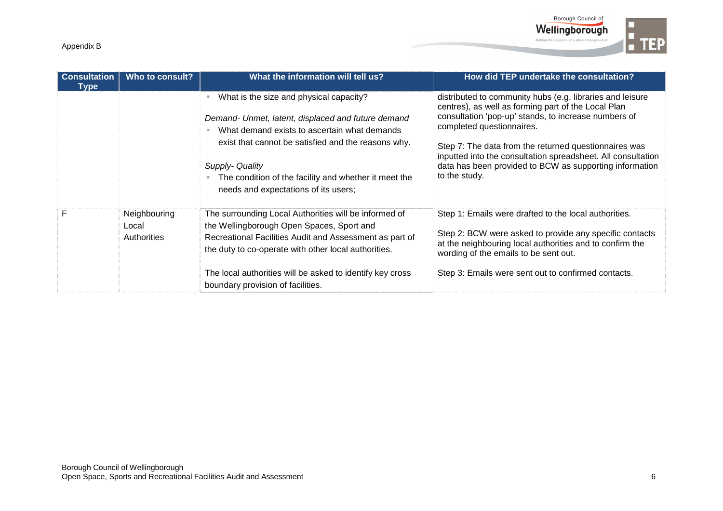

| <b>Consultation</b><br><b>Type</b> | Who to consult?                      | What the information will tell us?                                                                                                                                                                                                                                                                                       | How did TEP undertake the consultation?                                                                                                                                                                                                                                                                                                                                                                    |
|------------------------------------|--------------------------------------|--------------------------------------------------------------------------------------------------------------------------------------------------------------------------------------------------------------------------------------------------------------------------------------------------------------------------|------------------------------------------------------------------------------------------------------------------------------------------------------------------------------------------------------------------------------------------------------------------------------------------------------------------------------------------------------------------------------------------------------------|
|                                    |                                      | What is the size and physical capacity?<br>Demand- Unmet, latent, displaced and future demand<br>What demand exists to ascertain what demands<br>exist that cannot be satisfied and the reasons why.<br>Supply- Quality<br>The condition of the facility and whether it meet the<br>needs and expectations of its users; | distributed to community hubs (e.g. libraries and leisure<br>centres), as well as forming part of the Local Plan<br>consultation 'pop-up' stands, to increase numbers of<br>completed questionnaires.<br>Step 7: The data from the returned questionnaires was<br>inputted into the consultation spreadsheet. All consultation<br>data has been provided to BCW as supporting information<br>to the study. |
| F                                  | Neighbouring<br>Local<br>Authorities | The surrounding Local Authorities will be informed of<br>the Wellingborough Open Spaces, Sport and<br>Recreational Facilities Audit and Assessment as part of<br>the duty to co-operate with other local authorities.<br>The local authorities will be asked to identify key cross<br>boundary provision of facilities.  | Step 1: Emails were drafted to the local authorities.<br>Step 2: BCW were asked to provide any specific contacts<br>at the neighbouring local authorities and to confirm the<br>wording of the emails to be sent out.<br>Step 3: Emails were sent out to confirmed contacts.                                                                                                                               |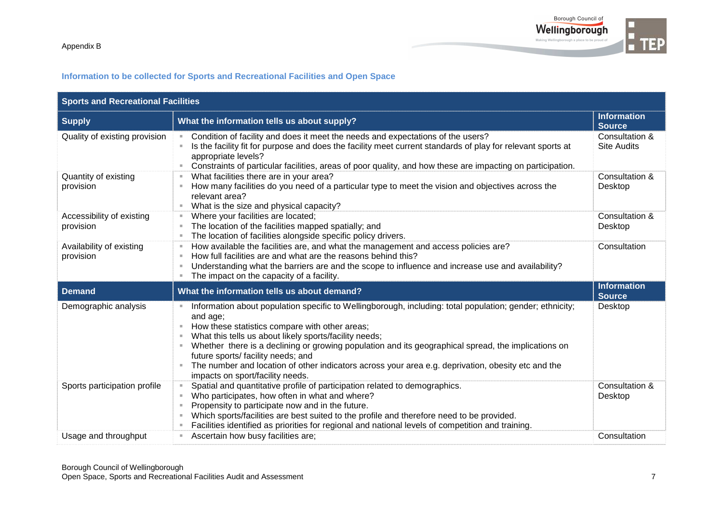

## **Information to be collected for Sports and Recreational Facilities and Open Space**

| <b>Sports and Recreational Facilities</b> |                                                                                                                                                                                                                                                                                                                                                                                                                                                                                                                               |                                      |  |  |  |  |
|-------------------------------------------|-------------------------------------------------------------------------------------------------------------------------------------------------------------------------------------------------------------------------------------------------------------------------------------------------------------------------------------------------------------------------------------------------------------------------------------------------------------------------------------------------------------------------------|--------------------------------------|--|--|--|--|
| <b>Supply</b>                             | What the information tells us about supply?                                                                                                                                                                                                                                                                                                                                                                                                                                                                                   | <b>Information</b><br><b>Source</b>  |  |  |  |  |
| Quality of existing provision             | Condition of facility and does it meet the needs and expectations of the users?<br>$\mathbb{R}^d$<br>Is the facility fit for purpose and does the facility meet current standards of play for relevant sports at<br>appropriate levels?<br>Constraints of particular facilities, areas of poor quality, and how these are impacting on participation.                                                                                                                                                                         | Consultation &<br><b>Site Audits</b> |  |  |  |  |
| Quantity of existing<br>provision         | What facilities there are in your area?<br>How many facilities do you need of a particular type to meet the vision and objectives across the<br>relevant area?<br>What is the size and physical capacity?<br>m.                                                                                                                                                                                                                                                                                                               | Consultation &<br>Desktop            |  |  |  |  |
| Accessibility of existing<br>provision    | Where your facilities are located;<br>$\equiv$<br>The location of the facilities mapped spatially; and<br>The location of facilities alongside specific policy drivers.<br>$\mathbf{u}$                                                                                                                                                                                                                                                                                                                                       | Consultation &<br>Desktop            |  |  |  |  |
| Availability of existing<br>provision     | How available the facilities are, and what the management and access policies are?<br>$\mathbb{R}^2$<br>How full facilities are and what are the reasons behind this?<br>×<br>Understanding what the barriers are and the scope to influence and increase use and availability?<br>The impact on the capacity of a facility.                                                                                                                                                                                                  | Consultation                         |  |  |  |  |
| <b>Demand</b>                             | What the information tells us about demand?                                                                                                                                                                                                                                                                                                                                                                                                                                                                                   | <b>Information</b><br><b>Source</b>  |  |  |  |  |
| Demographic analysis                      | Information about population specific to Wellingborough, including: total population; gender; ethnicity;<br>and age;<br>How these statistics compare with other areas;<br>What this tells us about likely sports/facility needs;<br>Whether there is a declining or growing population and its geographical spread, the implications on<br>×.<br>future sports/ facility needs; and<br>The number and location of other indicators across your area e.g. deprivation, obesity etc and the<br>impacts on sport/facility needs. | Desktop                              |  |  |  |  |
| Sports participation profile              | Spatial and quantitative profile of participation related to demographics.<br>Who participates, how often in what and where?<br>Propensity to participate now and in the future.<br>Which sports/facilities are best suited to the profile and therefore need to be provided.<br>Facilities identified as priorities for regional and national levels of competition and training.                                                                                                                                            | Consultation &<br>Desktop            |  |  |  |  |
| Usage and throughput                      | Ascertain how busy facilities are;<br>π.                                                                                                                                                                                                                                                                                                                                                                                                                                                                                      | Consultation                         |  |  |  |  |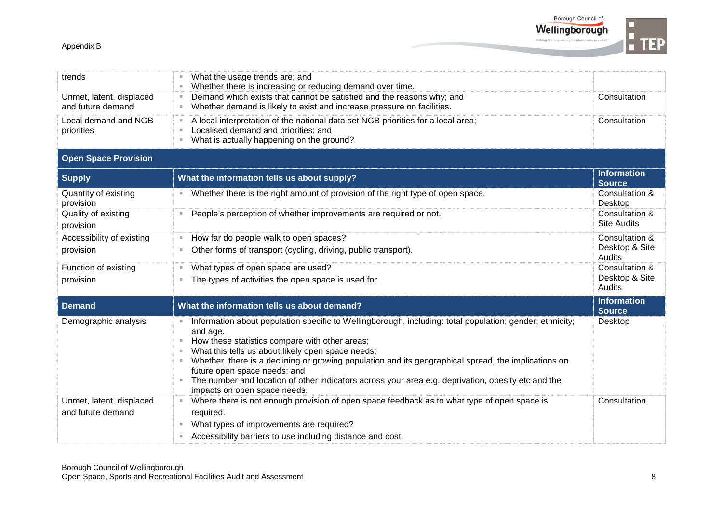

Borough Council of Wellingborough ing Wellinghorough a nlace to he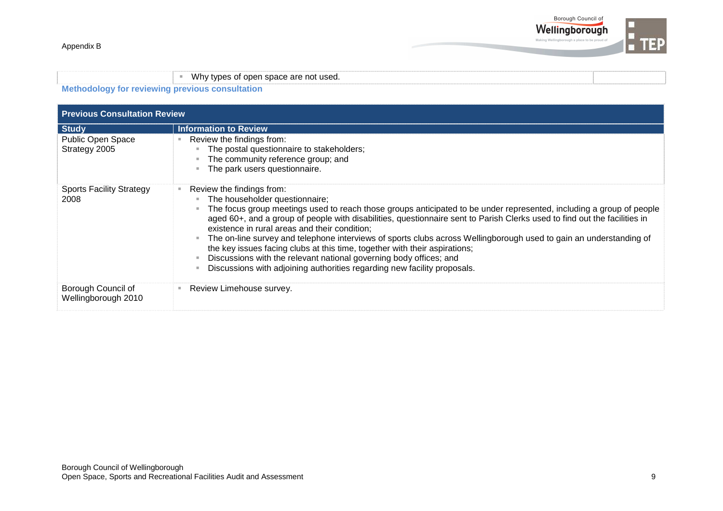

|  |  |  | Whv |                                  |  |                                     |  |  |  |  |  |  |  |  |  |
|--|--|--|-----|----------------------------------|--|-------------------------------------|--|--|--|--|--|--|--|--|--|
|  |  |  |     | tynes of onen snace are not used |  | $\cdot$ or open space are not used. |  |  |  |  |  |  |  |  |  |
|  |  |  |     |                                  |  |                                     |  |  |  |  |  |  |  |  |  |
|  |  |  |     |                                  |  |                                     |  |  |  |  |  |  |  |  |  |
|  |  |  |     |                                  |  |                                     |  |  |  |  |  |  |  |  |  |

**Methodology for reviewing previous consultation**

| <b>Previous Consultation Review</b>       |                                                                                                                                                                                                                                                                                                                                                                                                                                                                                                                                                                                                                                                                                                                         |  |  |  |  |  |
|-------------------------------------------|-------------------------------------------------------------------------------------------------------------------------------------------------------------------------------------------------------------------------------------------------------------------------------------------------------------------------------------------------------------------------------------------------------------------------------------------------------------------------------------------------------------------------------------------------------------------------------------------------------------------------------------------------------------------------------------------------------------------------|--|--|--|--|--|
| <b>Study</b>                              | <b>Information to Review</b>                                                                                                                                                                                                                                                                                                                                                                                                                                                                                                                                                                                                                                                                                            |  |  |  |  |  |
| Public Open Space<br>Strategy 2005        | Review the findings from:<br>The postal questionnaire to stakeholders;<br>The community reference group; and<br>The park users questionnaire.                                                                                                                                                                                                                                                                                                                                                                                                                                                                                                                                                                           |  |  |  |  |  |
| <b>Sports Facility Strategy</b><br>2008   | Review the findings from:<br>The householder questionnaire;<br>The focus group meetings used to reach those groups anticipated to be under represented, including a group of people<br>aged 60+, and a group of people with disabilities, questionnaire sent to Parish Clerks used to find out the facilities in<br>existence in rural areas and their condition;<br>The on-line survey and telephone interviews of sports clubs across Wellingborough used to gain an understanding of<br>the key issues facing clubs at this time, together with their aspirations;<br>Discussions with the relevant national governing body offices; and<br>Discussions with adjoining authorities regarding new facility proposals. |  |  |  |  |  |
| Borough Council of<br>Wellingborough 2010 | Review Limehouse survey.                                                                                                                                                                                                                                                                                                                                                                                                                                                                                                                                                                                                                                                                                                |  |  |  |  |  |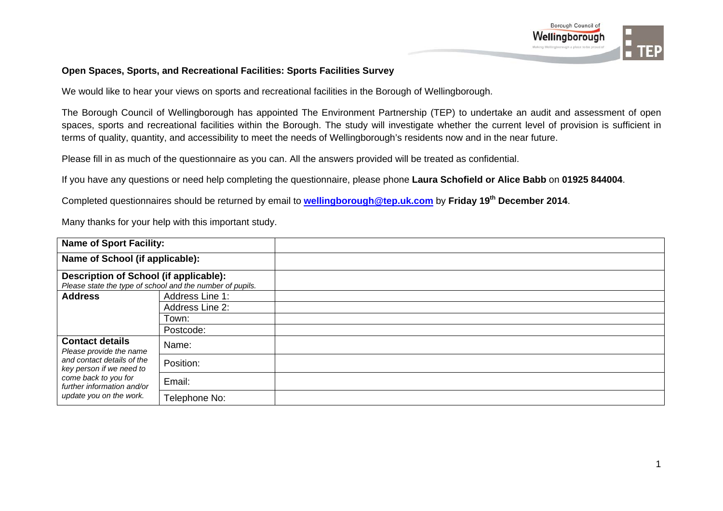

## **Open Spaces, Sports, and Recreational Facilities: Sports Facilities Survey**

We would like to hear your views on sports and recreational facilities in the Borough of Wellingborough.

The Borough Council of Wellingborough has appointed The Environment Partnership (TEP) to undertake an audit and assessment of open spaces, sports and recreational facilities within the Borough. The study will investigate whether the current level of provision is sufficient in terms of quality, quantity, and accessibility to meet the needs of Wellingborough's residents now and in the near future.

Please fill in as much of the questionnaire as you can. All the answers provided will be treated as confidential.

If you have any questions or need help completing the questionnaire, please phone **Laura Schofield or Alice Babb** on **01925 844004**.

Completed questionnaires should be returned by email to **wellingborough@tep.uk.com** by **Friday 19th December 2014**.

| <b>Name of Sport Facility:</b>                         |                                                           |  |
|--------------------------------------------------------|-----------------------------------------------------------|--|
| Name of School (if applicable):                        |                                                           |  |
| Description of School (if applicable):                 |                                                           |  |
|                                                        | Please state the type of school and the number of pupils. |  |
| <b>Address</b>                                         | Address Line 1:                                           |  |
|                                                        | Address Line 2:                                           |  |
|                                                        | Town:                                                     |  |
|                                                        | Postcode:                                                 |  |
| <b>Contact details</b><br>Please provide the name      | Name:                                                     |  |
| and contact details of the<br>key person if we need to | Position:                                                 |  |
| come back to you for<br>further information and/or     | Email:                                                    |  |
| update you on the work.                                | Telephone No:                                             |  |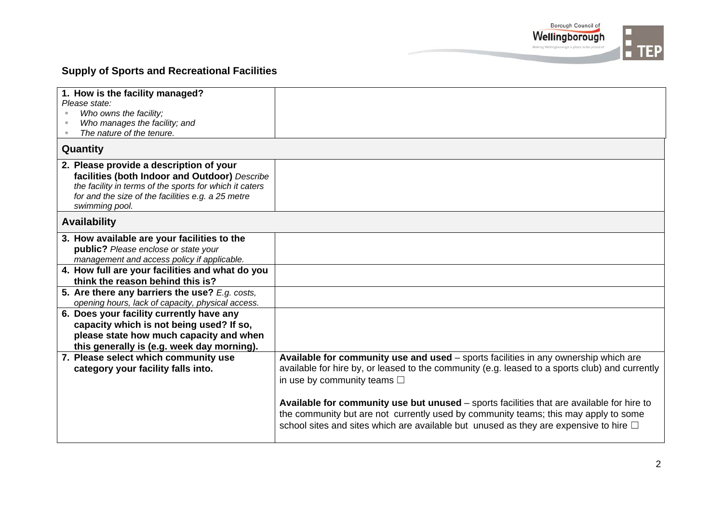

## **Supply of Sports and Recreational Facilities**

| 1. How is the facility managed?                         |                                                                                                |
|---------------------------------------------------------|------------------------------------------------------------------------------------------------|
| Please state:                                           |                                                                                                |
| Who owns the facility;                                  |                                                                                                |
| Who manages the facility; and                           |                                                                                                |
| The nature of the tenure.                               |                                                                                                |
| Quantity                                                |                                                                                                |
| 2. Please provide a description of your                 |                                                                                                |
| facilities (both Indoor and Outdoor) Describe           |                                                                                                |
| the facility in terms of the sports for which it caters |                                                                                                |
| for and the size of the facilities e.g. a 25 metre      |                                                                                                |
| swimming pool.                                          |                                                                                                |
| <b>Availability</b>                                     |                                                                                                |
| 3. How available are your facilities to the             |                                                                                                |
| public? Please enclose or state your                    |                                                                                                |
| management and access policy if applicable.             |                                                                                                |
| 4. How full are your facilities and what do you         |                                                                                                |
| think the reason behind this is?                        |                                                                                                |
| 5. Are there any barriers the use? E.g. costs,          |                                                                                                |
| opening hours, lack of capacity, physical access.       |                                                                                                |
| 6. Does your facility currently have any                |                                                                                                |
| capacity which is not being used? If so,                |                                                                                                |
| please state how much capacity and when                 |                                                                                                |
| this generally is (e.g. week day morning).              |                                                                                                |
| 7. Please select which community use                    | Available for community use and used - sports facilities in any ownership which are            |
| category your facility falls into.                      | available for hire by, or leased to the community (e.g. leased to a sports club) and currently |
|                                                         | in use by community teams $\square$                                                            |
|                                                         |                                                                                                |
|                                                         |                                                                                                |
|                                                         | Available for community use but unused - sports facilities that are available for hire to      |
|                                                         | the community but are not currently used by community teams; this may apply to some            |
|                                                         | school sites and sites which are available but unused as they are expensive to hire $\Box$     |
|                                                         |                                                                                                |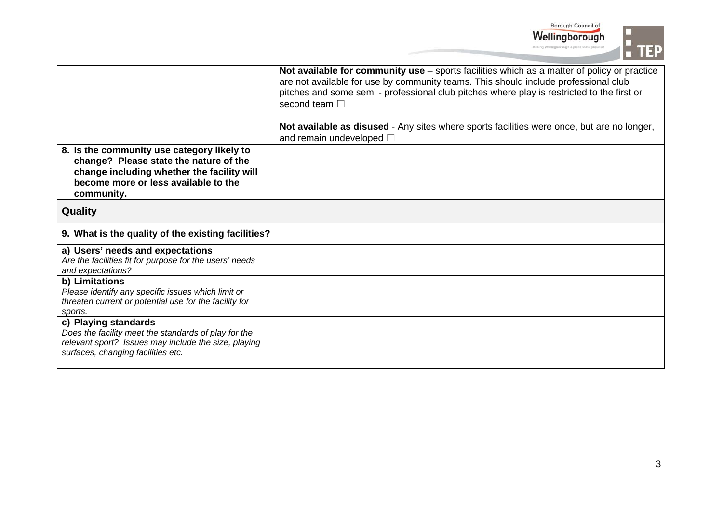

|                                                                                                                                                                                          | Not available for community use – sports facilities which as a matter of policy or practice<br>are not available for use by community teams. This should include professional club<br>pitches and some semi - professional club pitches where play is restricted to the first or<br>second team $\square$<br>Not available as disused - Any sites where sports facilities were once, but are no longer,<br>and remain undeveloped $\square$ |
|------------------------------------------------------------------------------------------------------------------------------------------------------------------------------------------|---------------------------------------------------------------------------------------------------------------------------------------------------------------------------------------------------------------------------------------------------------------------------------------------------------------------------------------------------------------------------------------------------------------------------------------------|
| 8. Is the community use category likely to<br>change? Please state the nature of the<br>change including whether the facility will<br>become more or less available to the<br>community. |                                                                                                                                                                                                                                                                                                                                                                                                                                             |
| <b>Quality</b>                                                                                                                                                                           |                                                                                                                                                                                                                                                                                                                                                                                                                                             |
| 9. What is the quality of the existing facilities?                                                                                                                                       |                                                                                                                                                                                                                                                                                                                                                                                                                                             |
| a) Users' needs and expectations<br>Are the facilities fit for purpose for the users' needs<br>and expectations?                                                                         |                                                                                                                                                                                                                                                                                                                                                                                                                                             |
| b) Limitations<br>Please identify any specific issues which limit or<br>threaten current or potential use for the facility for<br>sports.                                                |                                                                                                                                                                                                                                                                                                                                                                                                                                             |
| c) Playing standards<br>Does the facility meet the standards of play for the<br>relevant sport? Issues may include the size, playing<br>surfaces, changing facilities etc.               |                                                                                                                                                                                                                                                                                                                                                                                                                                             |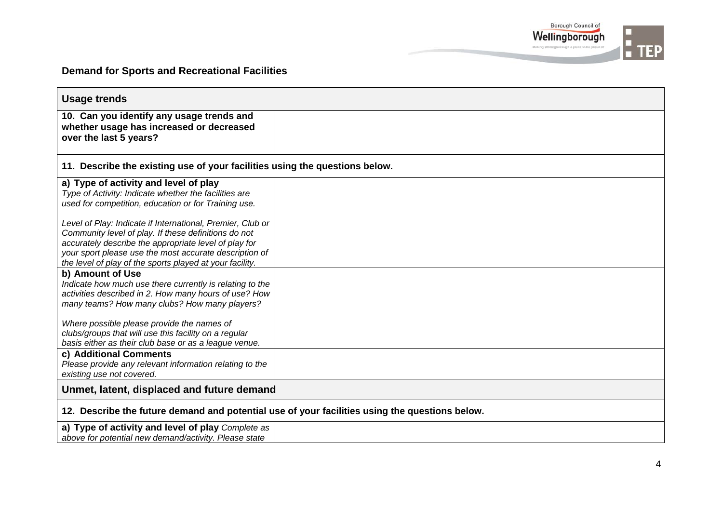

## **Demand for Sports and Recreational Facilities**

| <b>Usage trends</b>                                                                                                                                                                                                                 |  |  |
|-------------------------------------------------------------------------------------------------------------------------------------------------------------------------------------------------------------------------------------|--|--|
| 10. Can you identify any usage trends and<br>whether usage has increased or decreased<br>over the last 5 years?                                                                                                                     |  |  |
| 11. Describe the existing use of your facilities using the questions below.                                                                                                                                                         |  |  |
| a) Type of activity and level of play<br>Type of Activity: Indicate whether the facilities are<br>used for competition, education or for Training use.<br>Level of Play: Indicate if International, Premier, Club or                |  |  |
| Community level of play. If these definitions do not<br>accurately describe the appropriate level of play for<br>your sport please use the most accurate description of<br>the level of play of the sports played at your facility. |  |  |
| b) Amount of Use<br>Indicate how much use there currently is relating to the<br>activities described in 2. How many hours of use? How<br>many teams? How many clubs? How many players?                                              |  |  |
| Where possible please provide the names of<br>clubs/groups that will use this facility on a regular<br>basis either as their club base or as a league venue.                                                                        |  |  |
| c) Additional Comments<br>Please provide any relevant information relating to the<br>existing use not covered.                                                                                                                      |  |  |
| Unmet, latent, displaced and future demand                                                                                                                                                                                          |  |  |
| 12. Describe the future demand and potential use of your facilities using the questions below.                                                                                                                                      |  |  |
| a) Type of activity and level of play Complete as<br>above for potential new demand/activity. Please state                                                                                                                          |  |  |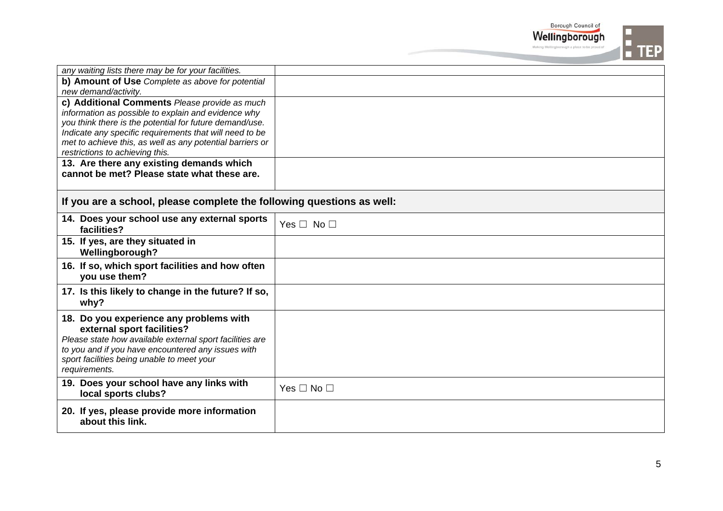|                                                                                                                                                                                                                                                        | Borough Council of<br>Wellingborough |
|--------------------------------------------------------------------------------------------------------------------------------------------------------------------------------------------------------------------------------------------------------|--------------------------------------|
|                                                                                                                                                                                                                                                        |                                      |
| any waiting lists there may be for your facilities.                                                                                                                                                                                                    |                                      |
| b) Amount of Use Complete as above for potential<br>new demand/activity.                                                                                                                                                                               |                                      |
| c) Additional Comments Please provide as much<br>information as possible to explain and evidence why<br>you think there is the potential for future demand/use.<br>Indicate any specific requirements that will need to be                             |                                      |
| met to achieve this, as well as any potential barriers or<br>restrictions to achieving this.                                                                                                                                                           |                                      |
| 13. Are there any existing demands which<br>cannot be met? Please state what these are.                                                                                                                                                                |                                      |
| If you are a school, please complete the following questions as well:                                                                                                                                                                                  |                                      |
| 14. Does your school use any external sports<br>facilities?                                                                                                                                                                                            | Yes $\Box$ No $\Box$                 |
| 15. If yes, are they situated in<br>Wellingborough?                                                                                                                                                                                                    |                                      |
| 16. If so, which sport facilities and how often<br>you use them?                                                                                                                                                                                       |                                      |
| 17. Is this likely to change in the future? If so,<br>why?                                                                                                                                                                                             |                                      |
| 18. Do you experience any problems with<br>external sport facilities?<br>Please state how available external sport facilities are<br>to you and if you have encountered any issues with<br>sport facilities being unable to meet your<br>requirements. |                                      |
| 19. Does your school have any links with<br>local sports clubs?                                                                                                                                                                                        | Yes $\Box$ No $\Box$                 |
| 20. If yes, please provide more information<br>about this link.                                                                                                                                                                                        |                                      |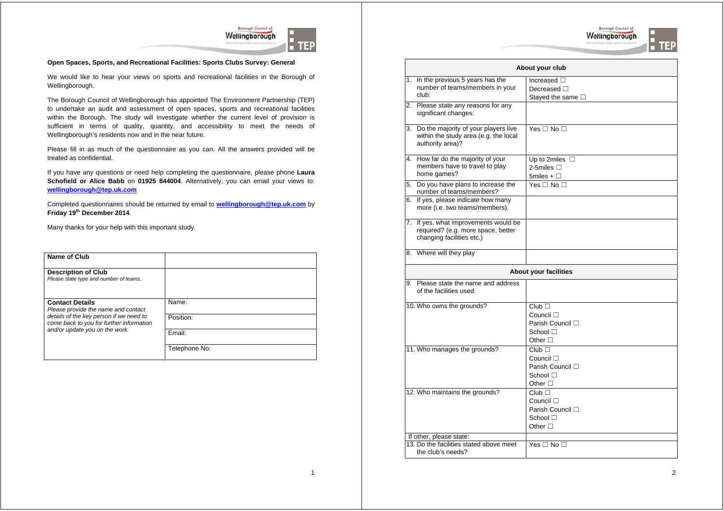



#### **Open Spaces, Sports, and Recreational Facilities: Sports Clubs Survey: General**

We would like to hear your views on sports and recreational facilities in the Borough of Wellingborough.

The Borough Council of Wellingborough has appointed The Environment Partnership (TEP) to undertake an audit and assessment of open spaces, sports and recreational facilities within the Borough. The study will investigate whether the current level of provision is sufficient in terms of quality, quantity, and accessibility to meet the needs of Wellingborough's residents now and in the near future.

Please fill in as much of the questionnaire as you can. All the answers provided will be treated as confidential.

If you have any questions or need help completing the questionnaire, please phone **Laura Schofield or Alice Babb** on **01925 844004**. Alternatively, you can email your views to: **wellingborough@tep.uk.com**

Completed questionnaires should be returned by email to **wellingborough@tep.uk.com** by **Friday 19th December 2014**.

Many thanks for your help with this important study.

| Name of Club                                                                        |               |
|-------------------------------------------------------------------------------------|---------------|
| <b>Description of Club</b><br>Please state type and number of teams.                |               |
| <b>Contact Details</b><br>Please provide the name and contact                       | Name:         |
| details of the key person if we need to<br>come back to you for further information | Position:     |
| and/or update you on the work.                                                      | Email:        |
|                                                                                     | Telephone No: |

|                              | About your club                                                                                          |                                                                                            |  |
|------------------------------|----------------------------------------------------------------------------------------------------------|--------------------------------------------------------------------------------------------|--|
|                              | 1. In the previous 5 years has the                                                                       | Increased $\square$                                                                        |  |
|                              | number of teams/members in your                                                                          | Decreased $\square$                                                                        |  |
|                              | club:                                                                                                    | Stayed the same □                                                                          |  |
|                              | 2. Please state any reasons for any<br>significant changes:                                              |                                                                                            |  |
|                              | 3. Do the majority of your players live<br>within the study area (e.g. the local<br>authority area)?     | Yes $\Box$ No $\Box$                                                                       |  |
|                              | 4. How far do the majority of your                                                                       | Up to 2miles $\Box$                                                                        |  |
|                              | members have to travel to play                                                                           | 2-5miles $\Box$                                                                            |  |
|                              | home games?                                                                                              | 5miles + $\square$                                                                         |  |
|                              | 5. Do you have plans to increase the<br>number of teams/members?                                         | Yes $\Box$ No $\Box$                                                                       |  |
|                              | 6. If yes, please indicate how many<br>more (i.e. two teams/members).                                    |                                                                                            |  |
|                              | 7. If yes, what improvements would be<br>required? (e.g. more space, better<br>changing facilities etc.) |                                                                                            |  |
|                              | 8. Where will they play                                                                                  |                                                                                            |  |
| <b>About your facilities</b> |                                                                                                          |                                                                                            |  |
|                              | 9. Please state the name and address<br>of the facilities used.                                          |                                                                                            |  |
|                              | 10. Who owns the grounds?                                                                                | Club<br>Council $\Box$<br>Parish Council □<br>School $\Box$<br>Other $\Box$                |  |
|                              | 11. Who manages the grounds?                                                                             | $Club$ $\Box$<br>Council $\square$<br>Parish Council □<br>School $\Box$<br>Other $\square$ |  |
|                              | 12. Who maintains the grounds?                                                                           | Club<br>Council $\square$<br>Parish Council □<br>School $\Box$<br>Other $\square$          |  |

If other, please state: 13. Do the facilities stated above meet the club's needs? Yes □ No □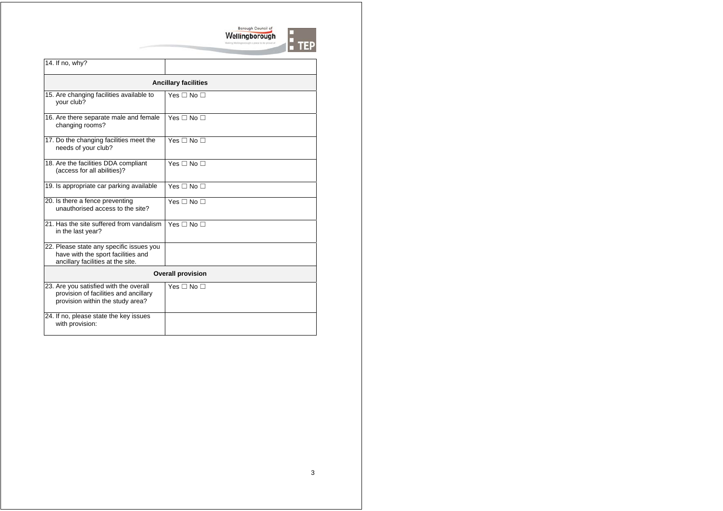

| 14. If no, why?                                                                                                     |                      |  |  |
|---------------------------------------------------------------------------------------------------------------------|----------------------|--|--|
| <b>Ancillary facilities</b>                                                                                         |                      |  |  |
| 15. Are changing facilities available to<br>your club?                                                              | Yes $\Box$ No $\Box$ |  |  |
| 16. Are there separate male and female<br>changing rooms?                                                           | Yes $\Box$ No $\Box$ |  |  |
| 17. Do the changing facilities meet the<br>needs of your club?                                                      | Yes $\Box$ No $\Box$ |  |  |
| 18. Are the facilities DDA compliant<br>(access for all abilities)?                                                 | Yes $\Box$ No $\Box$ |  |  |
| 19. Is appropriate car parking available                                                                            | Yes $\Box$ No $\Box$ |  |  |
| 20. Is there a fence preventing<br>unauthorised access to the site?                                                 | Yes $\Box$ No $\Box$ |  |  |
| 21. Has the site suffered from vandalism<br>in the last year?                                                       | Yes $\Box$ No $\Box$ |  |  |
| 22. Please state any specific issues you<br>have with the sport facilities and<br>ancillary facilities at the site. |                      |  |  |
| <b>Overall provision</b>                                                                                            |                      |  |  |
| 23. Are you satisfied with the overall<br>provision of facilities and ancillary<br>provision within the study area? | Yes $\Box$ No $\Box$ |  |  |
| 24. If no, please state the key issues<br>with provision:                                                           |                      |  |  |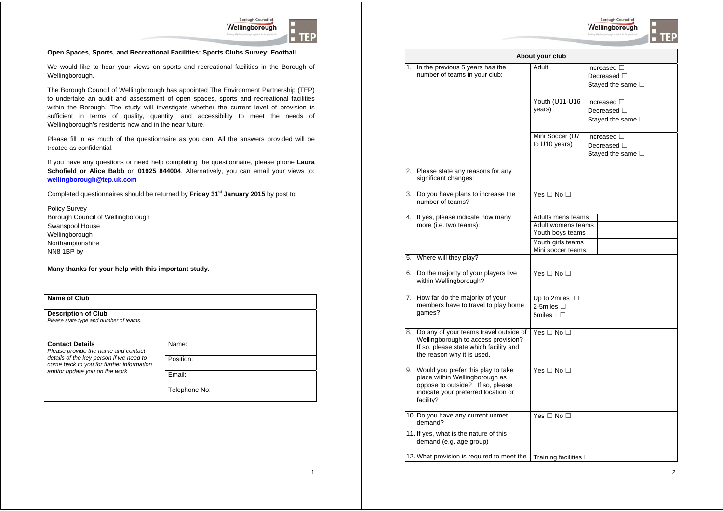



#### **Open Spaces, Sports, and Recreational Facilities: Sports Clubs Survey: Football**

We would like to hear your views on sports and recreational facilities in the Borough of Wellingborough.

The Borough Council of Wellingborough has appointed The Environment Partnership (TEP) to undertake an audit and assessment of open spaces, sports and recreational facilities within the Borough. The study will investigate whether the current level of provision is sufficient in terms of quality, quantity, and accessibility to meet the needs of Wellingborough's residents now and in the near future.

Please fill in as much of the questionnaire as you can. All the answers provided will be treated as confidential.

If you have any questions or need help completing the questionnaire, please phone **Laura Schofield or Alice Babb** on **01925 844004**. Alternatively, you can email your views to: **wellingborough@tep.uk.com**

Completed questionnaires should be returned by **Friday 31st January 2015** by post to:

Policy Survey Borough Council of Wellingborough Swanspool House Wellingborough Northamptonshire NN8 1BP by

| Name of Club                                                                        |               |
|-------------------------------------------------------------------------------------|---------------|
| <b>Description of Club</b><br>Please state type and number of teams.                |               |
| <b>Contact Details</b><br>Please provide the name and contact                       | Name:         |
| details of the key person if we need to<br>come back to you for further information | Position:     |
| and/or update you on the work.                                                      | Fmail:        |
|                                                                                     | Telephone No: |

| About your club                                                                                                                                                 |                                                           |                                                                      |  |
|-----------------------------------------------------------------------------------------------------------------------------------------------------------------|-----------------------------------------------------------|----------------------------------------------------------------------|--|
| 1. In the previous 5 years has the<br>number of teams in your club:                                                                                             | Adult                                                     | Increased $\square$<br>Decreased $\Box$<br>Stayed the same $\square$ |  |
|                                                                                                                                                                 | Youth (U11-U16<br>years)                                  | Increased $\square$<br>Decreased $\Box$<br>Stayed the same $\square$ |  |
|                                                                                                                                                                 | Mini Soccer (U7<br>to U10 years)                          | Increased □<br>Decreased $\square$<br>Stayed the same $\square$      |  |
| 2. Please state any reasons for any<br>significant changes:                                                                                                     |                                                           |                                                                      |  |
| 3. Do you have plans to increase the<br>number of teams?                                                                                                        | Yes $\Box$ No $\Box$                                      |                                                                      |  |
| 4. If yes, please indicate how many                                                                                                                             | Adults mens teams                                         |                                                                      |  |
| more (i.e. two teams):                                                                                                                                          | Adult womens teams                                        |                                                                      |  |
|                                                                                                                                                                 | Youth boys teams                                          |                                                                      |  |
|                                                                                                                                                                 | Youth girls teams                                         |                                                                      |  |
|                                                                                                                                                                 | Mini soccer teams:                                        |                                                                      |  |
| 5. Where will they play?                                                                                                                                        |                                                           |                                                                      |  |
| 6. Do the majority of your players live<br>within Wellingborough?                                                                                               | Yes $\Box$ No $\Box$                                      |                                                                      |  |
| 7. How far do the majority of your<br>members have to travel to play home<br>qames?                                                                             | Up to 2miles $\Box$<br>2-5miles $\Box$<br>5miles + $\Box$ |                                                                      |  |
| 8. Do any of your teams travel outside of<br>Wellingborough to access provision?<br>If so, please state which facility and<br>the reason why it is used.        | Yes $\Box$ No $\Box$                                      |                                                                      |  |
| 9. Would you prefer this play to take<br>place within Wellingborough as<br>oppose to outside? If so, please<br>indicate your preferred location or<br>facility? | Yes $\Box$ No $\Box$                                      |                                                                      |  |
| 10. Do you have any current unmet<br>demand?                                                                                                                    | Yes $\Box$ No $\Box$                                      |                                                                      |  |
| 11. If yes, what is the nature of this<br>demand (e.g. age group)                                                                                               |                                                           |                                                                      |  |
| 12. What provision is required to meet the                                                                                                                      | Training facilities $\square$                             |                                                                      |  |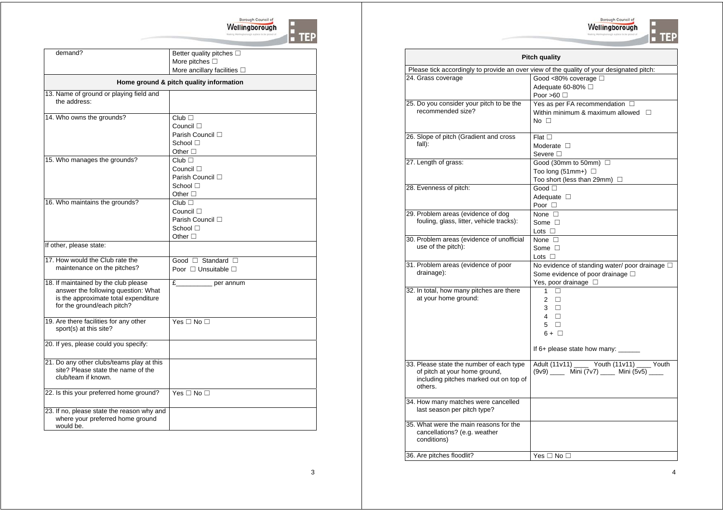

**:**<br>• TEP

|                                                                             | Borough Council of                      |
|-----------------------------------------------------------------------------|-----------------------------------------|
|                                                                             | Wellingborough                          |
|                                                                             |                                         |
| demand?                                                                     | Better quality pitches $\square$        |
|                                                                             | More pitches $\square$                  |
|                                                                             | More ancillary facilities $\square$     |
|                                                                             | Home ground & pitch quality information |
| 13. Name of ground or playing field and<br>the address:                     |                                         |
| 14. Who owns the grounds?                                                   | Club                                    |
|                                                                             | Council $\Box$                          |
|                                                                             | Parish Council □                        |
|                                                                             | School $\square$                        |
|                                                                             | Other $\square$                         |
| 15. Who manages the grounds?                                                | $Club$ $\Box$                           |
|                                                                             | Council $\square$                       |
|                                                                             | Parish Council $\square$                |
|                                                                             | School □                                |
| 16. Who maintains the grounds?                                              | Other $\Box$                            |
|                                                                             | Club<br>Council $\square$               |
|                                                                             | Parish Council □                        |
|                                                                             | School $\Box$                           |
|                                                                             | Other $\square$                         |
| If other, please state:                                                     |                                         |
| 17. How would the Club rate the                                             | Good $\Box$ Standard $\Box$             |
| maintenance on the pitches?                                                 | Poor $\Box$ Unsuitable $\Box$           |
|                                                                             |                                         |
| 18. If maintained by the club please<br>answer the following question: What | E<br>per annum                          |
| is the approximate total expenditure                                        |                                         |
| for the ground/each pitch?                                                  |                                         |
|                                                                             |                                         |
| 19. Are there facilities for any other                                      | Yes $\Box$ No $\Box$                    |
| sport(s) at this site?                                                      |                                         |
| 20. If yes, please could you specify:                                       |                                         |
|                                                                             |                                         |
| 21. Do any other clubs/teams play at this                                   |                                         |
| site? Please state the name of the                                          |                                         |
| club/team if known.                                                         |                                         |
| 22. Is this your preferred home ground?                                     | Yes $\square$ No $\square$              |

23. If no, please state the reason why and where your preferred home ground would be.

| <b>Pitch quality</b>                                                                     |                                                       |  |  |
|------------------------------------------------------------------------------------------|-------------------------------------------------------|--|--|
| Please tick accordingly to provide an over view of the quality of your designated pitch: |                                                       |  |  |
| 24. Grass coverage                                                                       | Good <80% coverage $\square$                          |  |  |
|                                                                                          | Adequate 60-80% □                                     |  |  |
|                                                                                          | Poor >60 $\Box$                                       |  |  |
| 25. Do you consider your pitch to be the<br>recommended size?                            | Yes as per FA recommendation □                        |  |  |
|                                                                                          | Within minimum & maximum allowed $\square$            |  |  |
|                                                                                          | $No \ \Box$                                           |  |  |
| 26. Slope of pitch (Gradient and cross                                                   | Flat $\square$                                        |  |  |
| fall):                                                                                   | Moderate $\Box$                                       |  |  |
|                                                                                          | Severe $\Box$                                         |  |  |
| 27. Length of grass:                                                                     | Good (30mm to 50mm) □                                 |  |  |
|                                                                                          | Too long (51mm+) $\Box$                               |  |  |
|                                                                                          | Too short (less than 29mm) $\Box$                     |  |  |
| 28. Evenness of pitch:                                                                   | Good $\Box$                                           |  |  |
|                                                                                          | Adequate $\square$                                    |  |  |
|                                                                                          | Poor $\Box$                                           |  |  |
| 29. Problem areas (evidence of dog<br>fouling, glass, litter, vehicle tracks):           | None $\square$                                        |  |  |
|                                                                                          | Some $\Box$<br>Lots $\Box$                            |  |  |
| 30. Problem areas (evidence of unofficial                                                | None $\Box$                                           |  |  |
| use of the pitch):                                                                       | Some $\Box$                                           |  |  |
|                                                                                          | Lots $\square$                                        |  |  |
| 31. Problem areas (evidence of poor                                                      | No evidence of standing water/poor drainage $\square$ |  |  |
| drainage):                                                                               | Some evidence of poor drainage $\square$              |  |  |
|                                                                                          | Yes, poor drainage $\square$                          |  |  |
| 32. In total, how many pitches are there                                                 | $\Box$<br>$\mathbf{1}$                                |  |  |
| at your home ground:                                                                     | $\Box$<br>$\overline{2}$                              |  |  |
|                                                                                          | $3\Box$                                               |  |  |
|                                                                                          | $4 \square$                                           |  |  |
|                                                                                          | $5 \square$                                           |  |  |
|                                                                                          | $6 + \Box$                                            |  |  |
|                                                                                          | If 6+ please state how many:                          |  |  |
| 33. Please state the number of each type                                                 | Adult (11v11) _____ Youth (11v11) ____ Youth          |  |  |
| of pitch at your home ground,                                                            | (9v9) _____ Mini (7v7) _____ Mini (5v5) ____          |  |  |
| including pitches marked out on top of                                                   |                                                       |  |  |
| others.                                                                                  |                                                       |  |  |
| 34. How many matches were cancelled                                                      |                                                       |  |  |
| last season per pitch type?                                                              |                                                       |  |  |
| 35. What were the main reasons for the                                                   |                                                       |  |  |
| cancellations? (e.g. weather<br>conditions)                                              |                                                       |  |  |
|                                                                                          |                                                       |  |  |
| 36. Are pitches floodlit?                                                                | Yes $\Box$ No $\Box$                                  |  |  |
|                                                                                          |                                                       |  |  |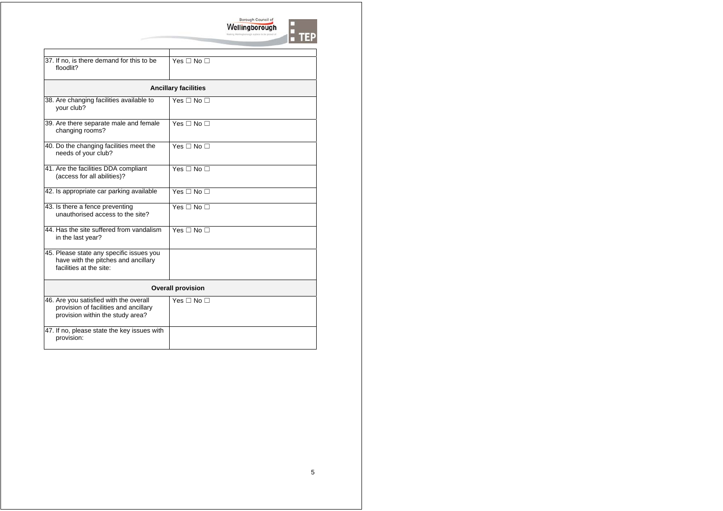

| 37. If no, is there demand for this to be<br>floodlit?                                                              | Yes $\square$ No $\square$  |  |
|---------------------------------------------------------------------------------------------------------------------|-----------------------------|--|
|                                                                                                                     | <b>Ancillary facilities</b> |  |
| 38. Are changing facilities available to<br>your club?                                                              | Yes $\Box$ No $\Box$        |  |
| 39. Are there separate male and female<br>changing rooms?                                                           | Yes $\Box$ No $\Box$        |  |
| 40. Do the changing facilities meet the<br>needs of your club?                                                      | Yes $\Box$ No $\Box$        |  |
| 41. Are the facilities DDA compliant<br>(access for all abilities)?                                                 | Yes $\Box$ No $\Box$        |  |
| 42. Is appropriate car parking available                                                                            | Yes $\Box$ No $\Box$        |  |
| 43. Is there a fence preventing<br>unauthorised access to the site?                                                 | Yes $\square$ No $\square$  |  |
| 44. Has the site suffered from vandalism<br>in the last year?                                                       | Yes $\Box$ No $\Box$        |  |
| 45. Please state any specific issues you<br>have with the pitches and ancillary<br>facilities at the site:          |                             |  |
| <b>Overall provision</b>                                                                                            |                             |  |
| 46. Are you satisfied with the overall<br>provision of facilities and ancillary<br>provision within the study area? | Yes $\Box$ No $\Box$        |  |
| 47. If no, please state the key issues with<br>provision:                                                           |                             |  |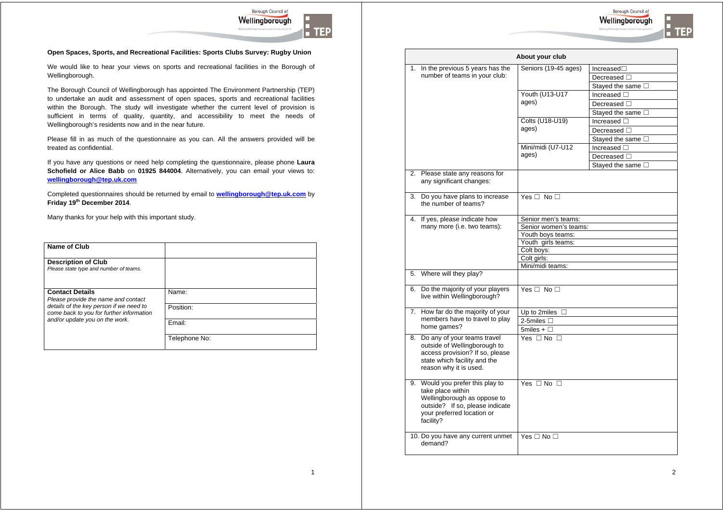

Borough Council of

I TEP

Wellingborough

We would like to hear your views on sports and recreational facilities in the Borough of Wellingborough.

The Borough Council of Wellingborough has appointed The Environment Partnership (TEP) to undertake an audit and assessment of open spaces, sports and recreational facilities within the Borough. The study will investigate whether the current level of provision is sufficient in terms of quality, quantity, and accessibility to meet the needs of Wellingborough's residents now and in the near future.

Please fill in as much of the questionnaire as you can. All the answers provided will be treated as confidential.

If you have any questions or need help completing the questionnaire, please phone **Laura Schofield or Alice Babb** on **01925 844004**. Alternatively, you can email your views to: **wellingborough@tep.uk.com**

Completed questionnaires should be returned by email to **wellingborough@tep.uk.com** by **Friday 19th December 2014**.

| Name of Club                                                                                             |                    |
|----------------------------------------------------------------------------------------------------------|--------------------|
| <b>Description of Club</b><br>Please state type and number of teams.                                     |                    |
| <b>Contact Details</b><br>Please provide the name and contact<br>details of the key person if we need to | Name:<br>Position: |
| come back to you for further information<br>and/or update you on the work.                               | Email:             |
|                                                                                                          | Telephone No:      |

| About your club                                                                                                                                                    |                                  |                           |  |
|--------------------------------------------------------------------------------------------------------------------------------------------------------------------|----------------------------------|---------------------------|--|
| 1. In the previous 5 years has the                                                                                                                                 | Seniors (19-45 ages)             | Increased <sub>1</sub>    |  |
| number of teams in your club:                                                                                                                                      |                                  | Decreased $\square$       |  |
|                                                                                                                                                                    |                                  | Stayed the same $\square$ |  |
|                                                                                                                                                                    | <b>Youth (U13-U17</b>            | Increased $\square$       |  |
|                                                                                                                                                                    | ages)                            | Decreased $\Box$          |  |
|                                                                                                                                                                    |                                  | Stayed the same $\square$ |  |
|                                                                                                                                                                    | Colts (U18-U19)                  | Increased $\square$       |  |
|                                                                                                                                                                    | ages)                            | Decreased $\Box$          |  |
|                                                                                                                                                                    |                                  | Stayed the same $\square$ |  |
|                                                                                                                                                                    | Mini/midi (U7-U12                | Increased $\square$       |  |
|                                                                                                                                                                    | ages)                            | Decreased $\square$       |  |
|                                                                                                                                                                    |                                  | Stayed the same $\square$ |  |
| 2. Please state any reasons for<br>any significant changes:                                                                                                        |                                  |                           |  |
| 3. Do you have plans to increase<br>the number of teams?                                                                                                           | Yes $\Box$ No $\Box$             |                           |  |
| 4. If yes, please indicate how                                                                                                                                     | Senior men's teams:              |                           |  |
| many more (i.e. two teams):                                                                                                                                        | Senior women's teams:            |                           |  |
|                                                                                                                                                                    | Youth boys teams:                |                           |  |
|                                                                                                                                                                    | Youth girls teams:<br>Colt boys: |                           |  |
|                                                                                                                                                                    | Colt girls:                      |                           |  |
|                                                                                                                                                                    | Mini/midi teams:                 |                           |  |
| 5. Where will they play?                                                                                                                                           |                                  |                           |  |
| 6. Do the majority of your players<br>live within Wellingborough?                                                                                                  | Yes $\Box$ No $\Box$             |                           |  |
| 7. How far do the majority of your                                                                                                                                 | Up to 2miles $\Box$              |                           |  |
| members have to travel to play                                                                                                                                     | 2-5miles $\Box$                  |                           |  |
| home games?                                                                                                                                                        | 5miles + $\Box$                  |                           |  |
| 8. Do any of your teams travel<br>outside of Wellingborough to<br>access provision? If so, please<br>state which facility and the<br>reason why it is used.        | Yes $\Box$ No $\Box$             |                           |  |
| 9. Would you prefer this play to<br>take place within<br>Wellingborough as oppose to<br>outside? If so, please indicate<br>your preferred location or<br>facility? | Yes $\Box$ No $\Box$             |                           |  |
| 10. Do you have any current unmet<br>demand?                                                                                                                       | Yes $\Box$ No $\Box$             |                           |  |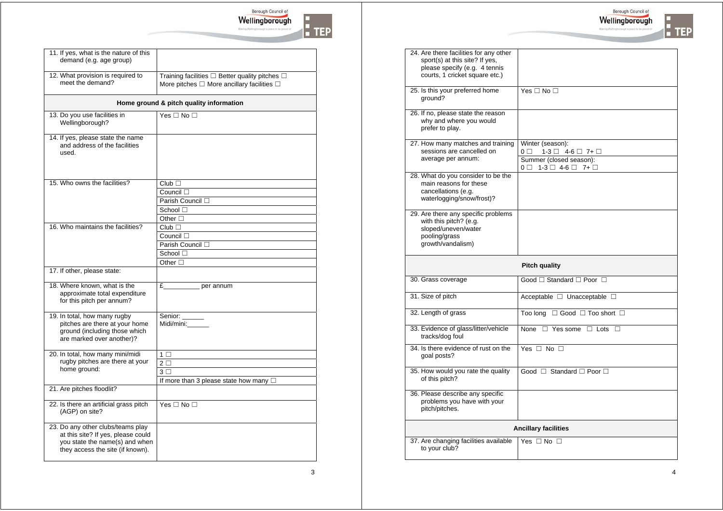

| 11. If yes, what is the nature of this<br>demand (e.g. age group)                                                                             |                                                                                                                        |
|-----------------------------------------------------------------------------------------------------------------------------------------------|------------------------------------------------------------------------------------------------------------------------|
| 12. What provision is required to<br>meet the demand?                                                                                         | Training facilities $\square$ Better quality pitches $\square$<br>More pitches $\Box$ More ancillary facilities $\Box$ |
|                                                                                                                                               | Home ground & pitch quality information                                                                                |
| 13. Do you use facilities in<br>Wellingborough?                                                                                               | Yes $\Box$ No $\Box$                                                                                                   |
| 14. If yes, please state the name<br>and address of the facilities<br>used.                                                                   |                                                                                                                        |
| 15. Who owns the facilities?                                                                                                                  | Club                                                                                                                   |
|                                                                                                                                               | Council $\square$                                                                                                      |
|                                                                                                                                               | Parish Council $\square$                                                                                               |
|                                                                                                                                               | School $\Box$                                                                                                          |
|                                                                                                                                               | Other $\Box$                                                                                                           |
| 16. Who maintains the facilities?                                                                                                             | $Club$ $\Box$                                                                                                          |
|                                                                                                                                               | Council $\square$                                                                                                      |
|                                                                                                                                               | Parish Council $\square$                                                                                               |
|                                                                                                                                               | School $\Box$                                                                                                          |
|                                                                                                                                               | Other $\Box$                                                                                                           |
| 17. If other, please state:                                                                                                                   |                                                                                                                        |
| 18. Where known, what is the<br>approximate total expenditure<br>for this pitch per annum?                                                    | $E_{-}$<br>per annum                                                                                                   |
| 19. In total, how many rugby<br>pitches are there at your home<br>ground (including those which<br>are marked over another)?                  | Senior:<br>Midi/mini:___                                                                                               |
| 20. In total, how many mini/midi                                                                                                              | $1 \Box$                                                                                                               |
| rugby pitches are there at your                                                                                                               | $2\Box$                                                                                                                |
| home ground:                                                                                                                                  | 3 <sub>1</sub>                                                                                                         |
|                                                                                                                                               | If more than 3 please state how many $\Box$                                                                            |
| 21. Are pitches floodlit?                                                                                                                     |                                                                                                                        |
| 22. Is there an artificial grass pitch<br>(AGP) on site?                                                                                      | Yes $\Box$ No $\Box$                                                                                                   |
| 23. Do any other clubs/teams play<br>at this site? If yes, please could<br>you state the name(s) and when<br>they access the site (if known). |                                                                                                                        |

**T**<br>TEP

| 24. Are there facilities for any other<br>sport(s) at this site? If yes,<br>please specify (e.g. 4 tennis<br>courts, 1 cricket square etc.) |           |                                                                                                                                          |
|---------------------------------------------------------------------------------------------------------------------------------------------|-----------|------------------------------------------------------------------------------------------------------------------------------------------|
| 25. Is this your preferred home<br>ground?                                                                                                  |           | Yes $\Box$ No $\Box$                                                                                                                     |
| 26. If no, please state the reason<br>why and where you would<br>prefer to play.                                                            |           |                                                                                                                                          |
| 27. How many matches and training<br>sessions are cancelled on<br>average per annum:                                                        | $0\ \Box$ | Winter (season):<br>$1-3$ $\Box$ 4-6 $\Box$ 7+ $\Box$<br>Summer (closed season):<br>$0 \square$ 1-3 $\square$ 4-6 $\square$ 7+ $\square$ |
| 28. What do you consider to be the<br>main reasons for these<br>cancellations (e.g.<br>waterlogging/snow/frost)?                            |           |                                                                                                                                          |
| 29. Are there any specific problems<br>with this pitch? (e.g.<br>sloped/uneven/water<br>pooling/grass<br>growth/vandalism)                  |           |                                                                                                                                          |
|                                                                                                                                             |           |                                                                                                                                          |
|                                                                                                                                             |           | <b>Pitch quality</b>                                                                                                                     |
| 30. Grass coverage                                                                                                                          |           | Good □ Standard □ Poor □                                                                                                                 |
| 31. Size of pitch                                                                                                                           |           | Acceptable □ Unacceptable □                                                                                                              |
| 32. Length of grass                                                                                                                         |           | Too long $\Box$ Good $\Box$ Too short $\Box$                                                                                             |
| 33. Evidence of glass/litter/vehicle<br>tracks/dog foul                                                                                     |           | None $\Box$ Yes some $\Box$ Lots $\Box$                                                                                                  |
| 34. Is there evidence of rust on the<br>goal posts?                                                                                         |           | Yes $\Box$ No $\Box$                                                                                                                     |
| 35. How would you rate the quality<br>of this pitch?                                                                                        |           | Good □ Standard □ Poor □                                                                                                                 |
| problems you have with your<br>pitch/pitches.                                                                                               |           |                                                                                                                                          |
| 36. Please describe any specific                                                                                                            |           | <b>Ancillary facilities</b>                                                                                                              |

3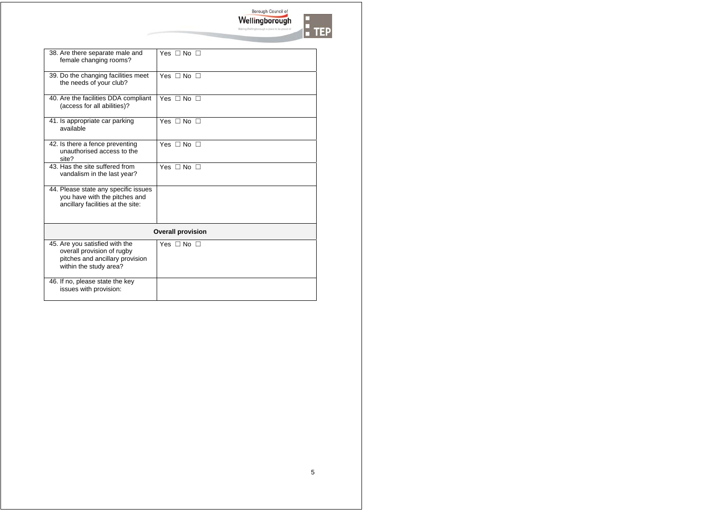Borough Council of Making Wellingt

|  | ı |
|--|---|

| 38. Are there separate male and<br>female changing rooms?                                                                 | Yes $\Box$ No $\Box$ |  |
|---------------------------------------------------------------------------------------------------------------------------|----------------------|--|
| 39. Do the changing facilities meet<br>the needs of your club?                                                            | Yes $\Box$ No $\Box$ |  |
| 40. Are the facilities DDA compliant<br>(access for all abilities)?                                                       | Yes $\Box$ No $\Box$ |  |
| 41. Is appropriate car parking<br>available                                                                               | Yes $\Box$ No $\Box$ |  |
| 42. Is there a fence preventing<br>unauthorised access to the<br>site?                                                    | Yes $\Box$ No $\Box$ |  |
| 43. Has the site suffered from<br>vandalism in the last year?                                                             | Yes $\Box$ No $\Box$ |  |
| 44. Please state any specific issues<br>you have with the pitches and<br>ancillary facilities at the site:                |                      |  |
| <b>Overall provision</b>                                                                                                  |                      |  |
| 45. Are you satisfied with the<br>overall provision of rugby<br>pitches and ancillary provision<br>within the study area? | Yes $\Box$ No $\Box$ |  |
| 46. If no, please state the key<br>issues with provision:                                                                 |                      |  |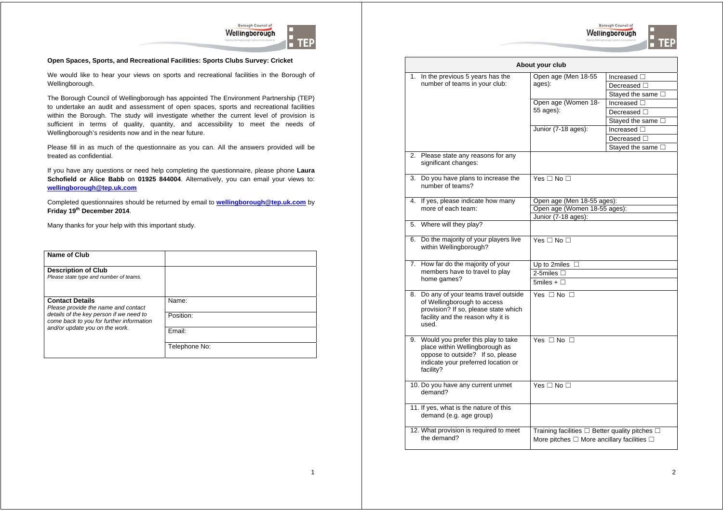



#### **Open Spaces, Sports, and Recreational Facilities: Sports Clubs Survey: Cricket**

We would like to hear your views on sports and recreational facilities in the Borough of Wellingborough.

The Borough Council of Wellingborough has appointed The Environment Partnership (TEP) to undertake an audit and assessment of open spaces, sports and recreational facilities within the Borough. The study will investigate whether the current level of provision is sufficient in terms of quality, quantity, and accessibility to meet the needs of Wellingborough's residents now and in the near future.

Please fill in as much of the questionnaire as you can. All the answers provided will be treated as confidential.

If you have any questions or need help completing the questionnaire, please phone **Laura Schofield or Alice Babb** on **01925 844004**. Alternatively, you can email your views to: **wellingborough@tep.uk.com**

Completed questionnaires should be returned by email to **wellingborough@tep.uk.com** by **Friday 19th December 2014**.

| Name of Club                                                                        |               |
|-------------------------------------------------------------------------------------|---------------|
| <b>Description of Club</b><br>Please state type and number of teams.                |               |
| <b>Contact Details</b><br>Please provide the name and contact                       | Name:         |
| details of the key person if we need to<br>come back to you for further information | Position:     |
| and/or update you on the work.                                                      | Email:        |
|                                                                                     | Telephone No: |

|                               |                                                                                                                                                                 | About your club                                                |                           |
|-------------------------------|-----------------------------------------------------------------------------------------------------------------------------------------------------------------|----------------------------------------------------------------|---------------------------|
| 1.                            | In the previous 5 years has the                                                                                                                                 | Open age (Men 18-55                                            | Increased □               |
| number of teams in your club: | ages):                                                                                                                                                          | Decreased $\square$                                            |                           |
|                               |                                                                                                                                                                 |                                                                | Stayed the same □         |
|                               |                                                                                                                                                                 | Open age (Women 18-                                            | Increased □               |
|                               |                                                                                                                                                                 | 55 ages):                                                      | Decreased $\Box$          |
|                               |                                                                                                                                                                 |                                                                | Stayed the same $\square$ |
|                               |                                                                                                                                                                 | Junior (7-18 ages):                                            | Increased $\Box$          |
|                               |                                                                                                                                                                 |                                                                | Decreased $\Box$          |
|                               |                                                                                                                                                                 |                                                                | Stayed the same $\square$ |
| 2.                            | Please state any reasons for any<br>significant changes:                                                                                                        |                                                                |                           |
| 3.                            | Do you have plans to increase the<br>number of teams?                                                                                                           | Yes $\Box$ No $\Box$                                           |                           |
|                               | 4. If yes, please indicate how many                                                                                                                             | Open age (Men 18-55 ages):                                     |                           |
|                               | more of each team:                                                                                                                                              | Open age (Women 18-55 ages):                                   |                           |
|                               |                                                                                                                                                                 | Junior (7-18 ages):                                            |                           |
|                               | 5. Where will they play?                                                                                                                                        |                                                                |                           |
|                               | 6. Do the majority of your players live<br>within Wellingborough?                                                                                               | Yes $\Box$ No $\Box$                                           |                           |
|                               | 7. How far do the majority of your                                                                                                                              | Up to 2miles $\Box$                                            |                           |
|                               | members have to travel to play                                                                                                                                  | 2-5miles $\square$                                             |                           |
|                               | home games?                                                                                                                                                     | 5miles + $\Box$                                                |                           |
|                               | 8. Do any of your teams travel outside<br>of Wellingborough to access<br>provision? If so, please state which<br>facility and the reason why it is<br>used.     | Yes $\Box$ No $\Box$                                           |                           |
|                               | 9. Would you prefer this play to take<br>place within Wellingborough as<br>oppose to outside? If so, please<br>indicate your preferred location or<br>facility? | Yes $\Box$ No $\Box$                                           |                           |
|                               | 10. Do you have any current unmet<br>demand?                                                                                                                    | Yes $\Box$ No $\Box$                                           |                           |
|                               | 11. If yes, what is the nature of this<br>demand (e.g. age group)                                                                                               |                                                                |                           |
|                               | 12. What provision is required to meet                                                                                                                          | Training facilities $\square$ Better quality pitches $\square$ |                           |
|                               | the demand?                                                                                                                                                     | More pitches $\Box$ More ancillary facilities $\Box$           |                           |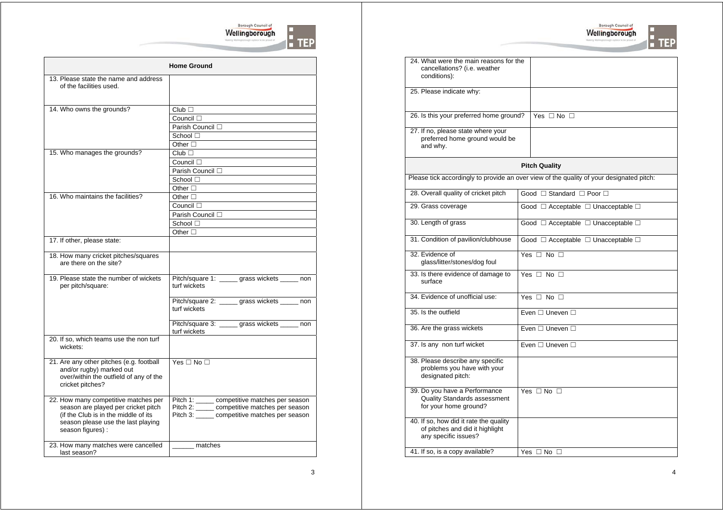



|                                                                                                                                                                                | <b>Home Ground</b>                                                                                                                              |
|--------------------------------------------------------------------------------------------------------------------------------------------------------------------------------|-------------------------------------------------------------------------------------------------------------------------------------------------|
| 13. Please state the name and address<br>of the facilities used.                                                                                                               |                                                                                                                                                 |
| 14. Who owns the grounds?                                                                                                                                                      | $Club$ $\Box$<br>Council $\Box$<br>Parish Council □<br>School □<br>Other $\Box$                                                                 |
| 15. Who manages the grounds?                                                                                                                                                   | $Club$ $\Box$<br>Council $\Box$<br>Parish Council □<br>School $\Box$<br>Other $\Box$                                                            |
| 16. Who maintains the facilities?                                                                                                                                              | Other $\square$<br>Council $\Box$<br>Parish Council $\square$<br>School $\Box$<br>Other $\square$                                               |
| 17. If other, please state:                                                                                                                                                    |                                                                                                                                                 |
| 18. How many cricket pitches/squares<br>are there on the site?                                                                                                                 |                                                                                                                                                 |
| 19. Please state the number of wickets<br>per pitch/square:                                                                                                                    | Pitch/square 1: _____ grass wickets _____ non<br>turf wickets                                                                                   |
|                                                                                                                                                                                | Pitch/square 2: _____ grass wickets _____ non<br>turf wickets                                                                                   |
|                                                                                                                                                                                | Pitch/square 3: _____ grass wickets _____ non<br>turf wickets                                                                                   |
| 20. If so, which teams use the non turf<br>wickets:                                                                                                                            |                                                                                                                                                 |
| 21. Are any other pitches (e.g. football<br>and/or rugby) marked out<br>over/within the outfield of any of the<br>cricket pitches?                                             | Yes $\Box$ No $\Box$                                                                                                                            |
| 22. How many competitive matches per<br>season are played per cricket pitch<br>(if the Club is in the middle of its<br>season please use the last playing<br>season figures) : | Pitch 1: _____ competitive matches per season<br>Pitch 2: _____ competitive matches per season<br>Pitch 3: _____ competitive matches per season |
| 23. How many matches were cancelled<br>last season?                                                                                                                            | matches                                                                                                                                         |

| 24. What were the main reasons for the<br>cancellations? (i.e. weather<br>conditions):            |                                                                                          |  |
|---------------------------------------------------------------------------------------------------|------------------------------------------------------------------------------------------|--|
| 25. Please indicate why:                                                                          |                                                                                          |  |
| 26. Is this your preferred home ground?                                                           | Yes $\Box$ No $\Box$                                                                     |  |
| 27. If no, please state where your<br>preferred home ground would be<br>and why.                  |                                                                                          |  |
|                                                                                                   | <b>Pitch Quality</b>                                                                     |  |
|                                                                                                   | Please tick accordingly to provide an over view of the quality of your designated pitch: |  |
| 28. Overall quality of cricket pitch                                                              | Good □ Standard □ Poor □                                                                 |  |
| 29. Grass coverage                                                                                | Good □ Acceptable □ Unacceptable □                                                       |  |
| 30. Length of grass                                                                               | Good $\Box$ Acceptable $\Box$ Unacceptable $\Box$                                        |  |
| 31. Condition of pavilion/clubhouse                                                               | Good $\Box$ Acceptable $\Box$ Unacceptable $\Box$                                        |  |
| 32. Evidence of<br>glass/litter/stones/dog foul                                                   | Yes $\Box$ No $\Box$                                                                     |  |
| 33. Is there evidence of damage to<br>surface                                                     | Yes $\Box$ No $\Box$                                                                     |  |
| 34. Evidence of unofficial use:                                                                   | Yes $\Box$ No $\Box$                                                                     |  |
| 35. Is the outfield                                                                               | Fven □ Uneven □                                                                          |  |
| 36. Are the grass wickets                                                                         | Even □ Uneven □                                                                          |  |
| 37. Is any non turf wicket                                                                        | Fven $\Box$ Uneven $\Box$                                                                |  |
| 38. Please describe any specific<br>problems you have with your<br>designated pitch:              |                                                                                          |  |
| 39. Do you have a Performance<br><b>Quality Standards assessment</b><br>for your home ground?     | Yes $\Box$ No $\Box$                                                                     |  |
| 40. If so, how did it rate the quality<br>of pitches and did it highlight<br>any specific issues? |                                                                                          |  |
| 41. If so, is a copy available?                                                                   | Yes $\Box$ No $\Box$                                                                     |  |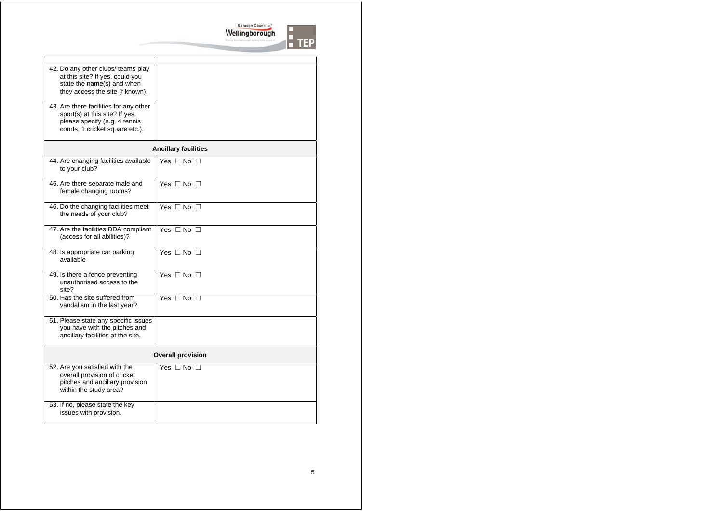

| 42. Do any other clubs/ teams play<br>at this site? If yes, could you<br>state the name(s) and when<br>they access the site (f known).       |                             |  |
|----------------------------------------------------------------------------------------------------------------------------------------------|-----------------------------|--|
| 43. Are there facilities for any other<br>sport(s) at this site? If yes,<br>please specify (e.g. 4 tennis<br>courts, 1 cricket square etc.). |                             |  |
|                                                                                                                                              | <b>Ancillary facilities</b> |  |
| 44. Are changing facilities available<br>to your club?                                                                                       | Yes $\Box$ No $\Box$        |  |
| 45. Are there separate male and<br>female changing rooms?                                                                                    | Yes $\Box$ No $\Box$        |  |
| 46. Do the changing facilities meet<br>the needs of your club?                                                                               | Yes $\Box$ No $\Box$        |  |
| 47. Are the facilities DDA compliant<br>(access for all abilities)?                                                                          | Yes $\Box$ No $\Box$        |  |
| 48. Is appropriate car parking<br>available                                                                                                  | Yes $\Box$ No $\Box$        |  |
| 49. Is there a fence preventing<br>unauthorised access to the<br>site?                                                                       | Yes $\Box$ No $\Box$        |  |
| 50. Has the site suffered from<br>vandalism in the last year?                                                                                | Yes $\Box$ No $\Box$        |  |
| 51. Please state any specific issues<br>you have with the pitches and<br>ancillary facilities at the site.                                   |                             |  |
| <b>Overall provision</b>                                                                                                                     |                             |  |
| 52. Are you satisfied with the<br>overall provision of cricket<br>pitches and ancillary provision<br>within the study area?                  | Yes $\Box$ No $\Box$        |  |
| 53. If no, please state the key<br>issues with provision.                                                                                    |                             |  |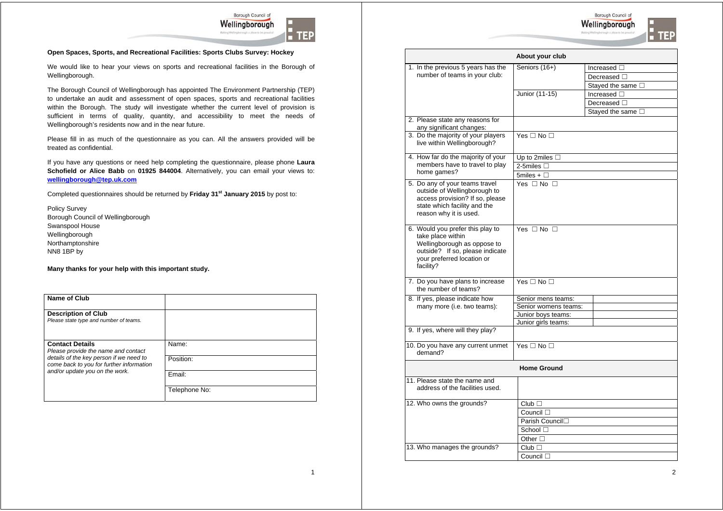

IIE)

Borough Council of Wellingborough

F TER

#### **Open Spaces, Sports, and Recreational Facilities: Sports Clubs Survey: Hockey**

We would like to hear your views on sports and recreational facilities in the Borough of Wellingborough.

The Borough Council of Wellingborough has appointed The Environment Partnership (TEP) to undertake an audit and assessment of open spaces, sports and recreational facilities within the Borough. The study will investigate whether the current level of provision is sufficient in terms of quality, quantity, and accessibility to meet the needs of Wellingborough's residents now and in the near future.

Please fill in as much of the questionnaire as you can. All the answers provided will be treated as confidential.

If you have any questions or need help completing the questionnaire, please phone **Laura Schofield or Alice Babb** on **01925 844004**. Alternatively, you can email your views to: **wellingborough@tep.uk.com**

Completed questionnaires should be returned by **Friday 31st January 2015** by post to:

Policy Survey Borough Council of Wellingborough Swanspool House Wellingborough Northamptonshire NN8 1BP by

| Name of Club                                                                        |               |
|-------------------------------------------------------------------------------------|---------------|
| <b>Description of Club</b><br>Please state type and number of teams.                |               |
| <b>Contact Details</b><br>Please provide the name and contact                       | Name:         |
| details of the key person if we need to<br>come back to you for further information | Position:     |
| and/or update you on the work.                                                      | Fmail:        |
|                                                                                     | Telephone No: |

|                                                                                                                                                                    | About your club      |                           |
|--------------------------------------------------------------------------------------------------------------------------------------------------------------------|----------------------|---------------------------|
| 1. In the previous 5 years has the                                                                                                                                 | Seniors (16+)        | Increased $\square$       |
| number of teams in your club:                                                                                                                                      |                      | Decreased $\square$       |
|                                                                                                                                                                    |                      | Stayed the same $\square$ |
|                                                                                                                                                                    | Junior (11-15)       | Increased $\square$       |
|                                                                                                                                                                    |                      | Decreased $\Box$          |
|                                                                                                                                                                    |                      | Stayed the same $\square$ |
| 2. Please state any reasons for<br>any significant changes:                                                                                                        |                      |                           |
| 3. Do the majority of your players<br>live within Wellingborough?                                                                                                  | Yes $\Box$ No $\Box$ |                           |
| 4. How far do the majority of your                                                                                                                                 | Up to 2miles $\Box$  |                           |
| members have to travel to play                                                                                                                                     | 2-5miles $\square$   |                           |
| home games?                                                                                                                                                        | 5miles + $\Box$      |                           |
| 5. Do any of your teams travel<br>outside of Wellingborough to<br>access provision? If so, please<br>state which facility and the<br>reason why it is used.        | Yes $\Box$ No $\Box$ |                           |
| 6. Would you prefer this play to<br>take place within<br>Wellingborough as oppose to<br>outside? If so, please indicate<br>your preferred location or<br>facility? | Yes $\Box$ No $\Box$ |                           |
| 7. Do you have plans to increase<br>the number of teams?                                                                                                           | Yes $\Box$ No $\Box$ |                           |
| 8. If yes, please indicate how                                                                                                                                     | Senior mens teams:   |                           |
| many more (i.e. two teams):                                                                                                                                        | Senior womens teams: |                           |
|                                                                                                                                                                    | Junior boys teams:   |                           |
|                                                                                                                                                                    | Junior girls teams:  |                           |
| 9. If yes, where will they play?                                                                                                                                   |                      |                           |
| 10. Do you have any current unmet<br>demand?                                                                                                                       | Yes $\Box$ No $\Box$ |                           |
|                                                                                                                                                                    | <b>Home Ground</b>   |                           |
| 11. Please state the name and<br>address of the facilities used.                                                                                                   |                      |                           |
| 12. Who owns the grounds?                                                                                                                                          | Club                 |                           |
|                                                                                                                                                                    | Council $\square$    |                           |
|                                                                                                                                                                    | Parish Council□      |                           |
|                                                                                                                                                                    | School $\Box$        |                           |
|                                                                                                                                                                    | Other $\Box$         |                           |
| 13. Who manages the grounds?                                                                                                                                       | Club                 |                           |
|                                                                                                                                                                    | Council $\square$    |                           |
|                                                                                                                                                                    |                      |                           |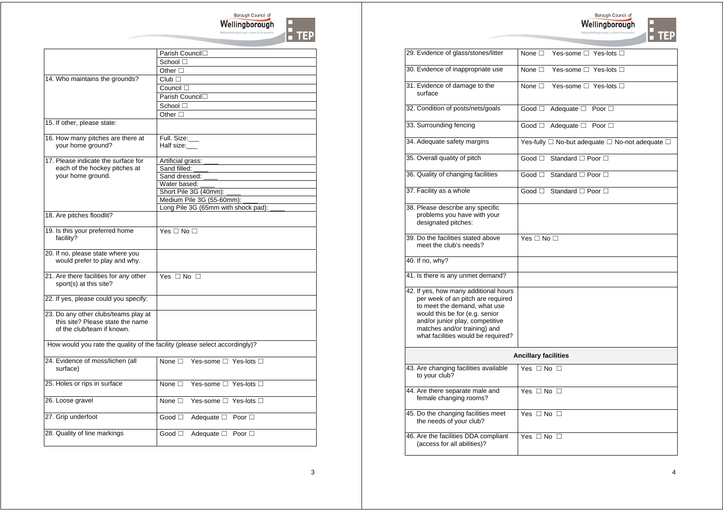

|                                                                             | Parish Council□                             |
|-----------------------------------------------------------------------------|---------------------------------------------|
|                                                                             | School □                                    |
|                                                                             | Other $\Box$                                |
| 14. Who maintains the grounds?                                              | $Club$ $\Box$                               |
|                                                                             | Council $\square$                           |
|                                                                             | Parish Council□                             |
|                                                                             | School □                                    |
|                                                                             | Other $\Box$                                |
| 15. If other, please state:                                                 |                                             |
|                                                                             |                                             |
| 16. How many pitches are there at                                           | Full. Size:                                 |
| your home ground?                                                           | Half size:                                  |
|                                                                             |                                             |
| 17. Please indicate the surface for                                         | Artificial grass:                           |
| each of the hockey pitches at                                               | Sand filled:                                |
| your home ground.                                                           | Sand dressed:                               |
|                                                                             | Water based:                                |
|                                                                             | Short Pile 3G (40mm):                       |
|                                                                             | Medium Pile 3G (55-60mm):                   |
| 18. Are pitches floodlit?                                                   | Long Pile 3G (65mm with shock pad):         |
|                                                                             |                                             |
| 19. Is this your preferred home                                             | Yes $\Box$ No $\Box$                        |
| facility?                                                                   |                                             |
|                                                                             |                                             |
| 20. If no, please state where you                                           |                                             |
| would prefer to play and why.                                               |                                             |
|                                                                             |                                             |
| 21. Are there facilities for any other                                      | Yes $\Box$ No $\Box$                        |
| sport(s) at this site?                                                      |                                             |
|                                                                             |                                             |
| 22. If yes, please could you specify:                                       |                                             |
| 23. Do any other clubs/teams play at                                        |                                             |
| this site? Please state the name                                            |                                             |
| of the club/team if known.                                                  |                                             |
|                                                                             |                                             |
| How would you rate the quality of the facility (please select accordingly)? |                                             |
|                                                                             |                                             |
| 24. Evidence of moss/lichen (all                                            | None □ Yes-some □ Yes-lots □                |
| surface)                                                                    |                                             |
|                                                                             |                                             |
| 25. Holes or rips in surface                                                | None $\square$<br>Yes-some □ Yes-lots □     |
|                                                                             |                                             |
| 26. Loose gravel                                                            | None $\Box$ Yes-some $\Box$ Yes-lots $\Box$ |
|                                                                             |                                             |
| 27. Grip underfoot                                                          | $Good \squareAdequate □ Poor □$             |
|                                                                             |                                             |
| 28. Quality of line markings                                                | Good $\Box$<br>Adequate □ Poor □            |
|                                                                             |                                             |
|                                                                             |                                             |



| 29. Evidence of glass/stones/litter                                                                                                                                                                                                                   | None $\Box$<br>Yes-some □ Yes-lots □                      |
|-------------------------------------------------------------------------------------------------------------------------------------------------------------------------------------------------------------------------------------------------------|-----------------------------------------------------------|
| 30. Evidence of inappropriate use                                                                                                                                                                                                                     | None $\square$<br>Yes-some $\Box$ Yes-lots $\Box$         |
| 31. Evidence of damage to the<br>surface                                                                                                                                                                                                              | None $\Box$<br>Yes-some □ Yes-lots □                      |
| 32. Condition of posts/nets/goals                                                                                                                                                                                                                     | Good □ Adequate □ Poor □                                  |
| 33. Surrounding fencing                                                                                                                                                                                                                               | Good □ Adequate □ Poor □                                  |
| 34. Adequate safety margins                                                                                                                                                                                                                           | Yes-fully □ No-but adequate □ No-not adequate □           |
| 35. Overall quality of pitch                                                                                                                                                                                                                          | $Good \square$<br>Standard <sup>1</sup> Poor <sup>1</sup> |
| 36. Quality of changing facilities                                                                                                                                                                                                                    | $Good \square$<br>Standard □ Poor □                       |
| 37. Facility as a whole                                                                                                                                                                                                                               | Good □ Standard □ Poor □                                  |
| 38. Please describe any specific<br>problems you have with your<br>designated pitches:                                                                                                                                                                |                                                           |
| 39. Do the facilities stated above<br>meet the club's needs?                                                                                                                                                                                          | Yes $\Box$ No $\Box$                                      |
| 40. If no, why?                                                                                                                                                                                                                                       |                                                           |
| 41. Is there is any unmet demand?                                                                                                                                                                                                                     |                                                           |
| 42. If yes, how many additional hours<br>per week of an pitch are required<br>to meet the demand, what use<br>would this be for (e.g. senior<br>and/or junior play, competitive<br>matches and/or training) and<br>what facilities would be required? |                                                           |
|                                                                                                                                                                                                                                                       | <b>Ancillary facilities</b>                               |
| 43. Are changing facilities available<br>to your club?                                                                                                                                                                                                | Yes $\Box$ No $\Box$                                      |
| 44. Are there separate male and<br>female changing rooms?                                                                                                                                                                                             | Yes $\Box$ No $\Box$                                      |
| 45. Do the changing facilities meet<br>the needs of your club?                                                                                                                                                                                        | Yes $\Box$ No $\Box$                                      |
| 46. Are the facilities DDA compliant<br>(access for all abilities)?                                                                                                                                                                                   | Yes $\Box$ No $\Box$                                      |
|                                                                                                                                                                                                                                                       |                                                           |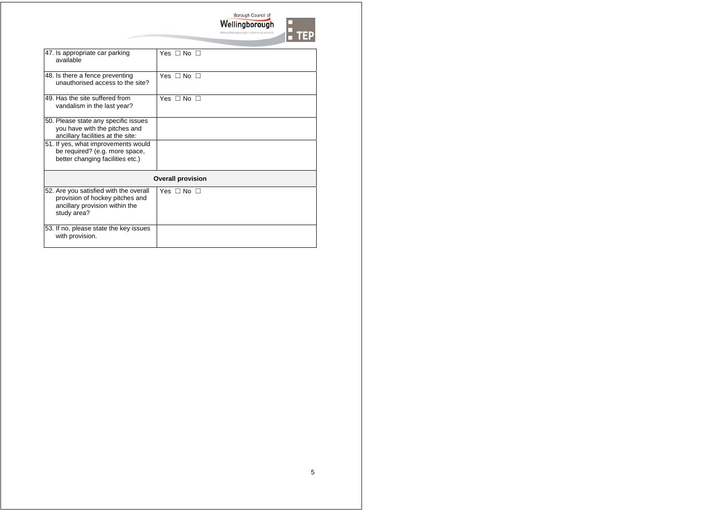

| 47. Is appropriate car parking<br>available                                                                                | Yes $\Box$ No $\Box$     |
|----------------------------------------------------------------------------------------------------------------------------|--------------------------|
| 48. Is there a fence preventing<br>unauthorised access to the site?                                                        | Yes $\Box$ No $\Box$     |
| 49. Has the site suffered from<br>vandalism in the last year?                                                              | Yes $\Box$ No $\Box$     |
| 50. Please state any specific issues<br>you have with the pitches and<br>ancillary facilities at the site:                 |                          |
| 51. If yes, what improvements would<br>be required? (e.g. more space,<br>better changing facilities etc.)                  |                          |
|                                                                                                                            | <b>Overall provision</b> |
| 52. Are you satisfied with the overall<br>provision of hockey pitches and<br>ancillary provision within the<br>study area? | Yes $\Box$ No $\Box$     |
| 53. If no, please state the key issues<br>with provision.                                                                  |                          |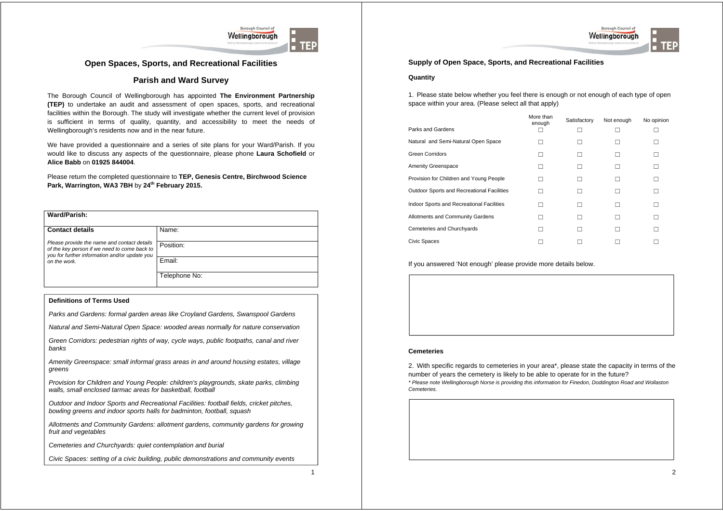





## **Open Spaces, Sports, and Recreational Facilities**

## **Parish and Ward Survey**

The Borough Council of Wellingborough has appointed **The Environment Partnership (TEP)** to undertake an audit and assessment of open spaces, sports, and recreational facilities within the Borough. The study will investigate whether the current level of provision is sufficient in terms of quality, quantity, and accessibility to meet the needs of Wellingborough's residents now and in the near future.

We have provided a questionnaire and a series of site plans for your Ward/Parish. If you would like to discuss any aspects of the questionnaire, please phone **Laura Schofield** or **Alice Babb** on **01925 844004**.

Please return the completed questionnaire to **TEP, Genesis Centre, Birchwood Science Park, Warrington, WA3 7BH** by **24th February 2015.**

| Ward/Parish:                                                                                |               |
|---------------------------------------------------------------------------------------------|---------------|
| <b>Contact details</b>                                                                      | Name:         |
| Please provide the name and contact details<br>of the key person if we need to come back to | Position:     |
| you for further information and/or update you<br>on the work.                               | Email:        |
|                                                                                             | Telephone No: |

#### **Definitions of Terms Used**

*Parks and Gardens: formal garden areas like Croyland Gardens, Swanspool Gardens* 

*Natural and Semi-Natural Open Space: wooded areas normally for nature conservation* 

*Green Corridors: pedestrian rights of way, cycle ways, public footpaths, canal and river banks* 

*Amenity Greenspace: small informal grass areas in and around housing estates, village greens* 

*Provision for Children and Young People: children's playgrounds, skate parks, climbing walls, small enclosed tarmac areas for basketball, football* 

*Outdoor and Indoor Sports and Recreational Facilities: football fields, cricket pitches, bowling greens and indoor sports halls for badminton, football, squash* 

*Allotments and Community Gardens: allotment gardens, community gardens for growing fruit and vegetables* 

*Cemeteries and Churchyards: quiet contemplation and burial* 

*Civic Spaces: setting of a civic building, public demonstrations and community events*

1

### **Supply of Open Space, Sports, and Recreational Facilities**

#### **Quantity**

1. Please state below whether you feel there is enough or not enough of each type of open space within your area. (Please select all that apply)

|                                            | More than<br>enough | Satisfactory | Not enough | No opinion |
|--------------------------------------------|---------------------|--------------|------------|------------|
| Parks and Gardens                          |                     |              |            |            |
| Natural and Semi-Natural Open Space        |                     |              |            |            |
| <b>Green Corridors</b>                     |                     |              |            |            |
| Amenity Greenspace                         | $\mathbf{L}$        |              |            | п          |
| Provision for Children and Young People    |                     |              |            |            |
| Outdoor Sports and Recreational Facilities |                     |              |            | П          |
| Indoor Sports and Recreational Facilities  |                     |              |            | П          |
| Allotments and Community Gardens           |                     |              |            |            |
| Cemeteries and Churchyards                 | $\mathbf{I}$        |              |            |            |
| Civic Spaces                               |                     |              |            |            |

#### If you answered 'Not enough' please provide more details below.

#### **Cemeteries**

2. With specific regards to cemeteries in your area\*, please state the capacity in terms of the number of years the cemetery is likely to be able to operate for in the future? *\* Please note Wellingborough Norse is providing this information for Finedon, Doddington Road and Wollaston Cemeteries.*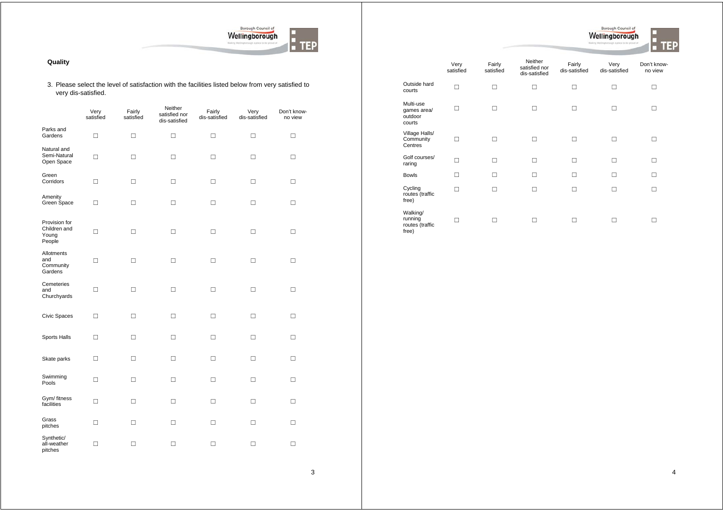

#### **Quality**

#### 3. Please select the level of satisfaction with the facilities listed below from very satisfied to very dis-satisfied.

|                                                  | Very<br>satisfied | Fairly<br>satisfied | Neither<br>satisfied nor<br>dis-satisfied | Fairly<br>dis-satisfied | Very<br>dis-satisfied | Don't know-<br>no view |
|--------------------------------------------------|-------------------|---------------------|-------------------------------------------|-------------------------|-----------------------|------------------------|
| Parks and<br>Gardens                             | $\Box$            | $\Box$              | $\Box$                                    | $\Box$                  | □                     | $\Box$                 |
| Natural and<br>Semi-Natural<br>Open Space        | $\Box$            | □                   | □                                         | □                       | □                     | □                      |
| Green<br>Corridors                               | $\Box$            | □                   | □                                         | □                       | □                     | □                      |
| Amenity<br>Green Space                           | □                 | □                   | □                                         | □                       | $\Box$                | □                      |
| Provision for<br>Children and<br>Young<br>People | $\Box$            | □                   | □                                         | □                       | □                     | □                      |
| Allotments<br>and<br>Community<br>Gardens        | $\Box$            | □                   | $\Box$                                    | $\Box$                  | $\Box$                | $\Box$                 |
| Cemeteries<br>and<br>Churchyards                 | □                 | □                   | □                                         | □                       | □                     | □                      |
| Civic Spaces                                     | □                 | □                   | □                                         | □                       | □                     | □                      |
| Sports Halls                                     | $\Box$            | □                   | □                                         | $\Box$                  | □                     | □                      |
| Skate parks                                      | $\Box$            | $\Box$              | □                                         | $\Box$                  | □                     | $\Box$                 |
| Swimming<br>Pools                                | $\Box$            | □                   | □                                         | □                       | □                     | □                      |
| Gym/ fitness<br>facilities                       | $\Box$            | □                   | □                                         | □                       | $\Box$                | □                      |
| Grass<br>pitches                                 | $\Box$            | $\Box$              | $\Box$                                    | $\Box$                  | □                     | $\Box$                 |
| Synthetic/<br>all-weather<br>pitches             | $\Box$            | $\Box$              | □                                         | □                       | □                     | □                      |

|                                                 | Very<br>satisfied | Fairly<br>satisfied | Neither<br>satisfied nor<br>dis-satisfied | Fairly<br>dis-satisfied | Very<br>dis-satisfied | Don't know-<br>no view |
|-------------------------------------------------|-------------------|---------------------|-------------------------------------------|-------------------------|-----------------------|------------------------|
| Outside hard<br>courts                          | п                 | п                   | □                                         | П                       | П                     | П                      |
| Multi-use<br>games area/<br>outdoor<br>courts   | п                 |                     | П                                         | П                       | □                     |                        |
| Village Halls/<br>Community<br>Centres          | п                 |                     | П                                         | П                       | П                     | п                      |
| Golf courses/<br>raring                         | п                 | п                   | П                                         | П                       | П                     | п                      |
| <b>Bowls</b>                                    | п                 |                     | п                                         | п                       | П                     | п                      |
| Cycling<br>routes (traffic<br>free)             | п                 |                     | П                                         | □                       | П                     |                        |
| Walking/<br>running<br>routes (traffic<br>free) | п                 |                     |                                           | □                       |                       |                        |

Borough Council of

 $\mathbf{F}$  TEP

3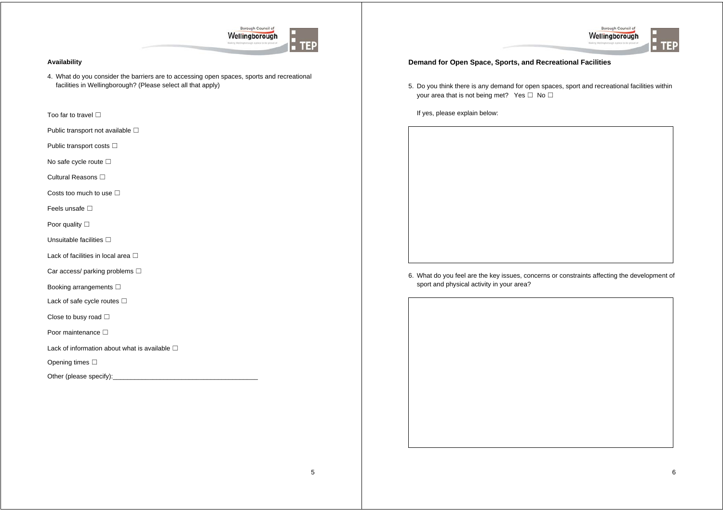

#### **Availability**

4. What do you consider the barriers are to accessing open spaces, sports and recreational facilities in Wellingborough? (Please select all that apply)

Too far to travel **□** 

Public transport not available  $\square$ 

Public transport costs □

No safe cycle route **□** 

Cultural Reasons □

Costs too much to use  $\Box$ 

Feels unsafe □

Poor quality **□** 

Unsuitable facilities  $□$ 

Lack of facilities in local area  $□$ 

Car access/ parking problems □

Booking arrangements **□** 

Lack of safe cycle routes  $□$ 

Close to busy road  $□$ 

Poor maintenance **□** 

Lack of information about what is available  $□$ 

Opening times **□** 

Other (please specify):



#### **Demand for Open Space, Sports, and Recreational Facilities**

5. Do you think there is any demand for open spaces, sport and recreational facilities within your area that is not being met? Yes  $□$  No  $□$ 

If yes, please explain below:

6. What do you feel are the key issues, concerns or constraints affecting the development of sport and physical activity in your area?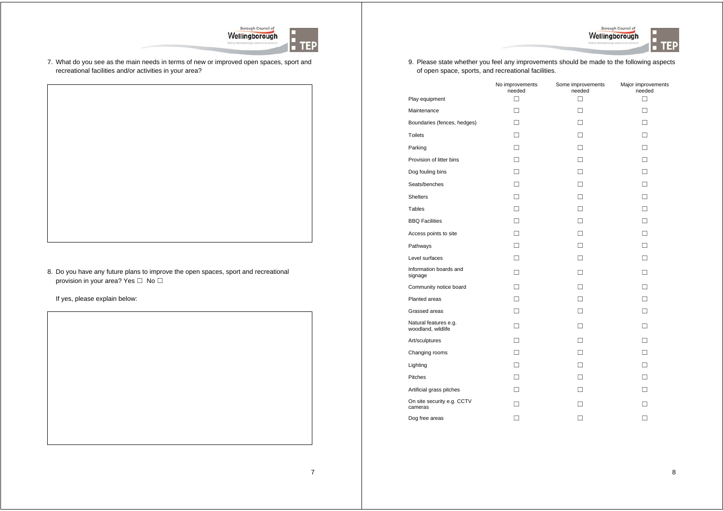



7. What do you see as the main needs in terms of new or improved open spaces, sport and recreational facilities and/or activities in your area?

8. Do you have any future plans to improve the open spaces, sport and recreational provision in your area? Yes □ No □



9. Please state whether you feel any improvements should be made to the following aspects of open space, sports, and recreational facilities.

|                                             | No improvements<br>needed | Some improvements<br>needed | Major improvements<br>needed |
|---------------------------------------------|---------------------------|-----------------------------|------------------------------|
| Play equipment                              | П                         | п                           | п                            |
| Maintenance                                 | П                         | п                           | п                            |
| Boundaries (fences, hedges)                 | п                         | п                           | п                            |
| <b>Toilets</b>                              | П                         | п                           | п                            |
| Parking                                     | п                         | п                           | п                            |
| Provision of litter bins                    | п                         | п                           | п                            |
| Dog fouling bins                            | П                         | П                           | п                            |
| Seats/benches                               | п                         | п                           | п                            |
| <b>Shelters</b>                             | П                         | п                           | п                            |
| Tables                                      | п                         | п                           | п                            |
| <b>BBQ Facilities</b>                       | п                         | п                           | п                            |
| Access points to site                       | п                         | п                           | п                            |
| Pathways                                    | П                         | п                           | п                            |
| Level surfaces                              | п                         | п                           | п                            |
| Information boards and<br>signage           | П                         | п                           | п                            |
| Community notice board                      | П                         | п                           | п                            |
| Planted areas                               | п                         | п                           | п                            |
| Grassed areas                               | п                         | п                           | п                            |
| Natural features e.g.<br>woodland, wildlife | п                         | п                           | п                            |
| Art/sculptures                              | п                         | п                           | п                            |
| Changing rooms                              | п                         | п                           | п                            |
| Lighting                                    | п                         | п                           | п                            |
| Pitches                                     | П                         | П                           | п                            |
| Artificial grass pitches                    | П                         | п                           | п                            |
| On site security e.g. CCTV<br>cameras       | П                         | п                           | п                            |
| Dog free areas                              | П                         |                             | П                            |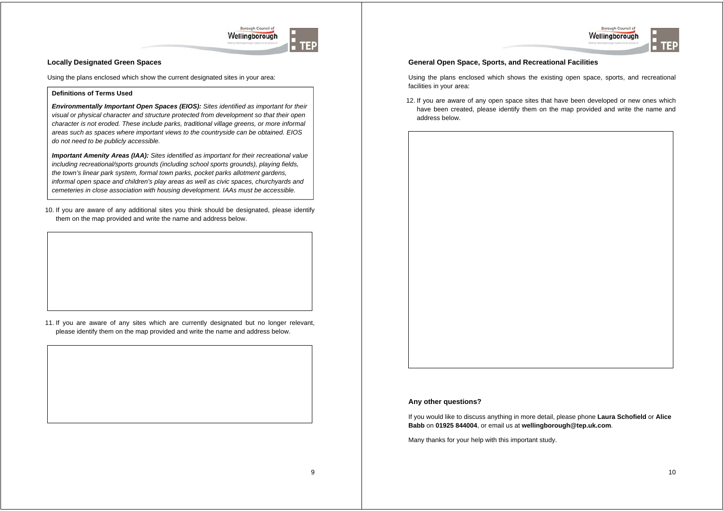



#### **Locally Designated Green Spaces**

Using the plans enclosed which show the current designated sites in your area:

#### **Definitions of Terms Used**

*Environmentally Important Open Spaces (EIOS): Sites identified as important for their visual or physical character and structure protected from development so that their open character is not eroded. These include parks, traditional village greens, or more informal areas such as spaces where important views to the countryside can be obtained. EIOS do not need to be publicly accessible.* 

*Important Amenity Areas (IAA): Sites identified as important for their recreational value including recreational/sports grounds (including school sports grounds), playing fields, the town's linear park system, formal town parks, pocket parks allotment gardens, informal open space and children's play areas as well as civic spaces, churchyards and cemeteries in close association with housing development. IAAs must be accessible.* 

10. If you are aware of any additional sites you think should be designated, please identify them on the map provided and write the name and address below.

11. If you are aware of any sites which are currently designated but no longer relevant, please identify them on the map provided and write the name and address below.

#### **General Open Space, Sports, and Recreational Facilities**

Using the plans enclosed which shows the existing open space, sports, and recreational facilities in your area:

12. If you are aware of any open space sites that have been developed or new ones which have been created, please identify them on the map provided and write the name and address below.



#### **Any other questions?**

If you would like to discuss anything in more detail, please phone **Laura Schofield** or **Alice Babb** on **01925 844004**, or email us at **wellingborough@tep.uk.com**.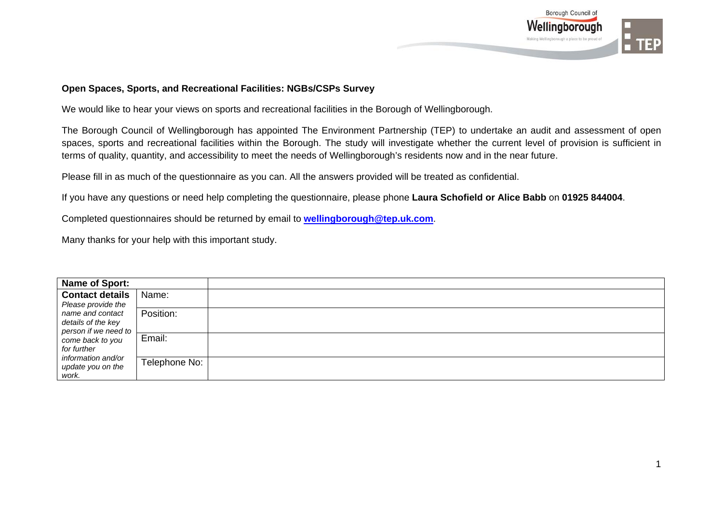

## **Open Spaces, Sports, and Recreational Facilities: NGBs/CSPs Survey**

We would like to hear your views on sports and recreational facilities in the Borough of Wellingborough.

The Borough Council of Wellingborough has appointed The Environment Partnership (TEP) to undertake an audit and assessment of open spaces, sports and recreational facilities within the Borough. The study will investigate whether the current level of provision is sufficient in terms of quality, quantity, and accessibility to meet the needs of Wellingborough's residents now and in the near future.

Please fill in as much of the questionnaire as you can. All the answers provided will be treated as confidential.

If you have any questions or need help completing the questionnaire, please phone **Laura Schofield or Alice Babb** on **01925 844004**.

Completed questionnaires should be returned by email to **wellingborough@tep.uk.com**.

| Name of Sport:                                                 |               |  |
|----------------------------------------------------------------|---------------|--|
| Contact details  <br>Please provide the                        | Name:         |  |
| name and contact<br>details of the key<br>person if we need to | Position:     |  |
| come back to you<br>for further                                | Email:        |  |
| information and/or<br>update you on the<br>work.               | Telephone No: |  |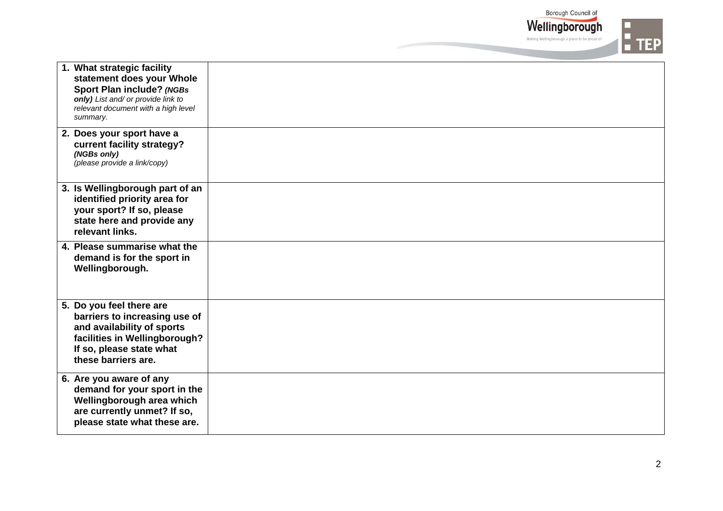Borough Council of Wellingborough

Making Wellingborough a place to be proud of

 $\frac{1}{2}$  TEP

| 1. What strategic facility<br>statement does your Whole<br><b>Sport Plan include? (NGBs</b><br>only) List and/ or provide link to<br>relevant document with a high level<br>summary. |  |
|--------------------------------------------------------------------------------------------------------------------------------------------------------------------------------------|--|
| 2. Does your sport have a<br>current facility strategy?<br>(NGBs only)<br>(please provide a link/copy)                                                                               |  |
| 3. Is Wellingborough part of an<br>identified priority area for<br>your sport? If so, please<br>state here and provide any<br>relevant links.                                        |  |
| 4. Please summarise what the<br>demand is for the sport in<br>Wellingborough.                                                                                                        |  |
| 5. Do you feel there are<br>barriers to increasing use of<br>and availability of sports<br>facilities in Wellingborough?<br>If so, please state what<br>these barriers are.          |  |
| 6. Are you aware of any<br>demand for your sport in the<br>Wellingborough area which<br>are currently unmet? If so,<br>please state what these are.                                  |  |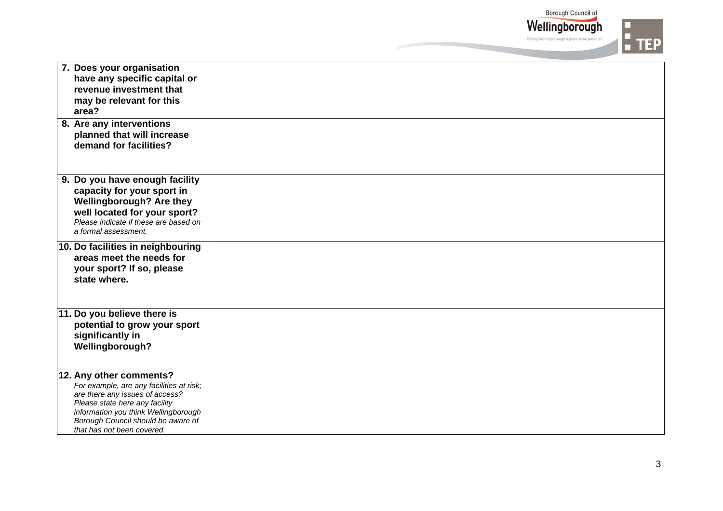Borough Council of

Wellingborough Making Wellingborough a place to be proud of



| 7. Does your organisation<br>have any specific capital or<br>revenue investment that<br>may be relevant for this<br>area?                                                                                                                            |  |
|------------------------------------------------------------------------------------------------------------------------------------------------------------------------------------------------------------------------------------------------------|--|
| 8. Are any interventions<br>planned that will increase<br>demand for facilities?                                                                                                                                                                     |  |
| 9. Do you have enough facility<br>capacity for your sport in<br>Wellingborough? Are they<br>well located for your sport?<br>Please indicate if these are based on<br>a formal assessment.                                                            |  |
| 10. Do facilities in neighbouring<br>areas meet the needs for<br>your sport? If so, please<br>state where.                                                                                                                                           |  |
| 11. Do you believe there is<br>potential to grow your sport<br>significantly in<br>Wellingborough?                                                                                                                                                   |  |
| 12. Any other comments?<br>For example, are any facilities at risk;<br>are there any issues of access?<br>Please state here any facility<br>information you think Wellingborough<br>Borough Council should be aware of<br>that has not been covered. |  |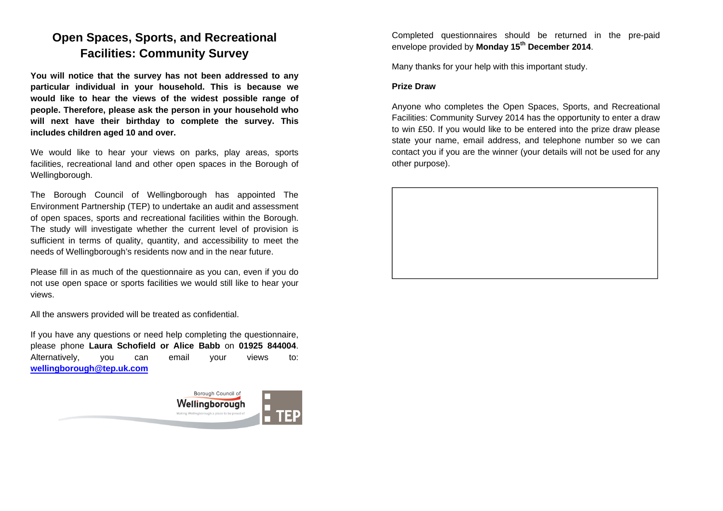## **Open Spaces, Sports, and Recreational Facilities: Community Survey**

**You will notice that the survey has not been addressed to any particular individual in your household. This is because we would like to hear the views of the widest possible range of people. Therefore, please ask the person in your household who will next have their birthday to complete the survey. This includes children aged 10 and over.** 

We would like to hear your views on parks, play areas, sports facilities, recreational land and other open spaces in the Borough of Wellingborough.

The Borough Council of Wellingborough has appointed The Environment Partnership (TEP) to undertake an audit and assessment of open spaces, sports and recreational facilities within the Borough. The study will investigate whether the current level of provision is sufficient in terms of quality, quantity, and accessibility to meet the needs of Wellingborough's residents now and in the near future.

Please fill in as much of the questionnaire as you can, even if you do not use open space or sports facilities we would still like to hear your views.

All the answers provided will be treated as confidential.

If you have any questions or need help completing the questionnaire, please phone **Laura Schofield or Alice Babb** on **01925 844004**. Alternatively, you can email your views to: **wellingborough@tep.uk.com**



Completed questionnaires should be returned in the pre-paid envelope provided by **Monday 15th December 2014**.

Many thanks for your help with this important study.

### **Prize Draw**

Anyone who completes the Open Spaces, Sports, and Recreational Facilities: Community Survey 2014 has the opportunity to enter a draw to win £50. If you would like to be entered into the prize draw please state your name, email address, and telephone number so we can contact you if you are the winner (your details will not be used for any other purpose).

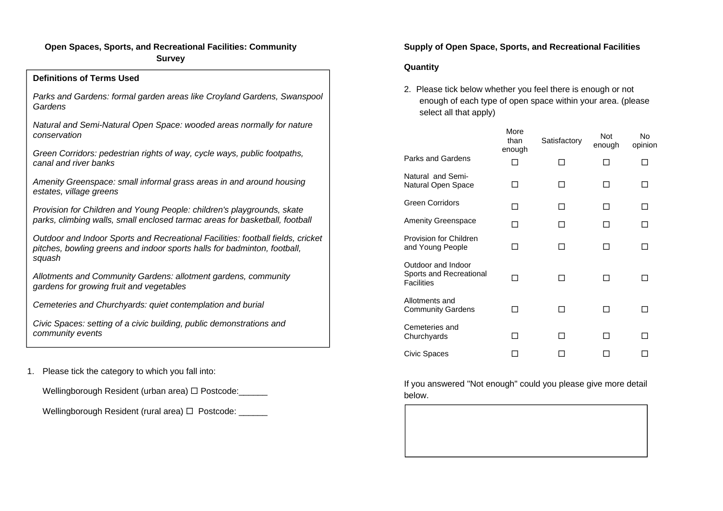## **Open Spaces, Sports, and Recreational Facilities: Community Survey**

| <b>Definitions of Terms Used</b>                                                                                                                                      |
|-----------------------------------------------------------------------------------------------------------------------------------------------------------------------|
| Parks and Gardens: formal garden areas like Croyland Gardens, Swanspool<br>Gardens                                                                                    |
| Natural and Semi-Natural Open Space: wooded areas normally for nature<br>conservation                                                                                 |
| Green Corridors: pedestrian rights of way, cycle ways, public footpaths,<br>canal and river banks                                                                     |
| Amenity Greenspace: small informal grass areas in and around housing<br>estates, village greens                                                                       |
| Provision for Children and Young People: children's playgrounds, skate<br>parks, climbing walls, small enclosed tarmac areas for basketball, football                 |
| Outdoor and Indoor Sports and Recreational Facilities: football fields, cricket<br>pitches, bowling greens and indoor sports halls for badminton, football,<br>squash |
| Allotments and Community Gardens: allotment gardens, community<br>gardens for growing fruit and vegetables                                                            |
| Cemeteries and Churchyards: quiet contemplation and burial                                                                                                            |
| Civic Spaces: setting of a civic building, public demonstrations and<br>community events                                                                              |

1. Please tick the category to which you fall into:

Wellingborough Resident (urban area)  $\Box$  Postcode: \_\_\_\_\_\_

Wellingborough Resident (rural area)  $\Box$  Postcode: \_\_\_\_\_\_

## **Supply of Open Space, Sports, and Recreational Facilities**

## **Quantity**

2. Please tick below whether you feel there is enough or not enough of each type of open space within your area. (please select all that apply)

|                                                                    | More<br>than<br>enough | Satisfactory | <b>Not</b><br>enough | No<br>opinion |
|--------------------------------------------------------------------|------------------------|--------------|----------------------|---------------|
| Parks and Gardens                                                  |                        |              |                      |               |
| Natural and Semi-<br>Natural Open Space                            |                        |              |                      |               |
| <b>Green Corridors</b>                                             |                        |              |                      |               |
| <b>Amenity Greenspace</b>                                          | - 1                    |              |                      |               |
| Provision for Children<br>and Young People                         |                        |              |                      |               |
| Outdoor and Indoor<br>Sports and Recreational<br><b>Facilities</b> |                        | - 1          |                      |               |
| Allotments and<br><b>Community Gardens</b>                         |                        |              |                      |               |
| Cemeteries and<br>Churchyards                                      |                        |              |                      |               |
| Civic Spaces                                                       |                        |              |                      |               |

If you answered "Not enough" could you please give more detail below.

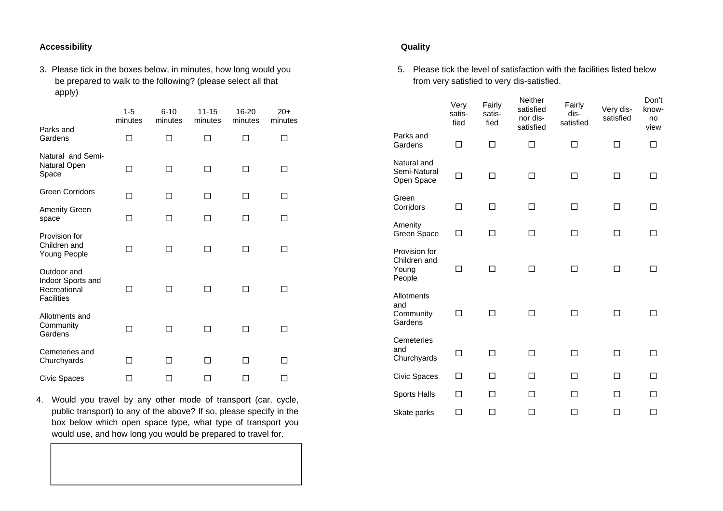## **Accessibility**

3. Please tick in the boxes below, in minutes, how long would you be prepared to walk to the following? (please select all that apply)

|                                                                       | 1-5<br>minutes           | $6 - 10$<br>minutes      | 11-15<br>minutes | 16-20<br>minutes | $20+$<br>minutes |
|-----------------------------------------------------------------------|--------------------------|--------------------------|------------------|------------------|------------------|
| Parks and<br>Gardens                                                  | ┑                        | ⊓                        | П                |                  | п                |
| Natural and Semi-<br>Natural Open<br>Space                            | П                        | П                        | П                |                  | П                |
| <b>Green Corridors</b>                                                | п                        | П                        | П                | п                | П                |
| <b>Amenity Green</b><br>space                                         | п                        | п                        | п                | П                | П                |
| Provision for<br>Children and<br>Young People                         | П                        | п                        | П                | п                | п                |
| Outdoor and<br>Indoor Sports and<br>Recreational<br><b>Facilities</b> | - 1                      |                          | H                |                  | ΙI               |
| Allotments and<br>Community<br>Gardens                                | - 1                      | - 1                      | □                |                  |                  |
| Cemeteries and<br>Churchyards                                         | $\overline{\phantom{a}}$ | $\overline{\phantom{a}}$ | H                |                  | ΙI               |
| Civic Spaces                                                          |                          | П                        | H                | - 1              | П                |

4. Would you travel by any other mode of transport (car, cycle, public transport) to any of the above? If so, please specify in the box below which open space type, what type of transport you would use, and how long you would be prepared to travel for.

## **Quality**

5. Please tick the level of satisfaction with the facilities listed below from very satisfied to very dis-satisfied.

|                                                  | Very<br>satis-<br>fied | Fairly<br>satis-<br>fied | Neither<br>satisfied<br>nor dis-<br>satisfied | Fairly<br>dis-<br>satisfied | Very dis-<br>satisfied | Don't<br>know-<br>no<br>view |
|--------------------------------------------------|------------------------|--------------------------|-----------------------------------------------|-----------------------------|------------------------|------------------------------|
| Parks and<br>Gardens                             | □                      | □                        | П                                             | П                           | П                      | П                            |
| Natural and<br>Semi-Natural<br>Open Space        | П                      | П                        | П                                             | П                           | П                      | П                            |
| Green<br>Corridors                               | п                      | п                        | П                                             | п                           | П                      |                              |
| Amenity<br>Green Space                           | ┐                      | ┐                        | П                                             |                             | П                      |                              |
| Provision for<br>Children and<br>Young<br>People | П                      | П                        | П                                             | П                           | П                      |                              |
| Allotments<br>and<br>Community<br>Gardens        | ⊓                      | П                        | П                                             | П                           | П                      |                              |
| Cemeteries<br>and<br>Churchyards                 | П                      | п                        | П                                             | п                           | п                      |                              |
| Civic Spaces                                     | п                      | П                        | п                                             | П                           | п                      |                              |
| Sports Halls                                     | П                      | П                        | П                                             | П                           | П                      |                              |
| Skate parks                                      | П                      | П                        | П                                             | □                           | П                      | П                            |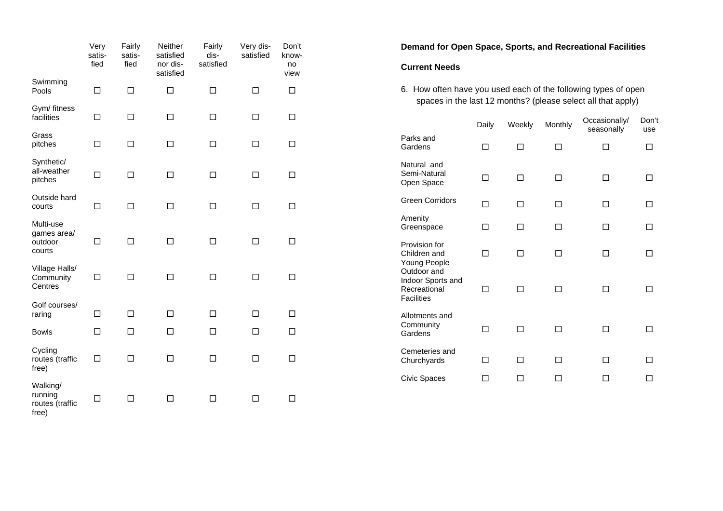|                                                 | Very<br>satis-<br>fied | Fairly<br>satis-<br>fied | Neither<br>satisfied<br>nor dis-<br>satisfied | Fairly<br>dis-<br>satisfied | Very dis-<br>satisfied | Don't<br>know-<br>no<br>view |  |
|-------------------------------------------------|------------------------|--------------------------|-----------------------------------------------|-----------------------------|------------------------|------------------------------|--|
| Swimming<br>Pools                               | □                      | $\Box$                   | □                                             | $\Box$                      | $\Box$                 | $\Box$                       |  |
| Gym/ fitness<br>facilities                      | $\Box$                 | $\Box$                   | $\Box$                                        | □                           | □                      | □                            |  |
| Grass<br>pitches                                | $\Box$                 | П                        | П                                             | П                           | п                      | □                            |  |
| Synthetic/<br>all-weather<br>pitches            | $\Box$                 | П                        | П                                             | П                           | п                      | $\Box$                       |  |
| Outside hard<br>courts                          | $\Box$                 | □                        | П                                             | П                           | п                      | $\Box$                       |  |
| Multi-use<br>games area/<br>outdoor<br>courts   | □                      | □                        | $\Box$                                        | $\Box$                      | □                      | □                            |  |
| Village Halls/<br>Community<br>Centres          | □                      | □                        | П                                             | П                           | □                      | □                            |  |
| Golf courses/<br>raring                         | □                      | □                        | □                                             | п                           | П                      | П                            |  |
| <b>Bowls</b>                                    | □                      | □                        | П                                             | □                           | □                      | $\Box$                       |  |
| Cycling<br>routes (traffic<br>free)             | □                      | □                        | П                                             | □                           | П                      | □                            |  |
| Walking/<br>running<br>routes (traffic<br>free) | □                      | □                        | П                                             | П                           | □                      | □                            |  |

**Demand for Open Space, Sports, and Recreational Facilities** 

#### **Current Needs**

6. How often have you used each of the following types of open spaces in the last 12 months? (please select all that apply)

|                                                              | Daily | Weekly | Monthly | Occasionally/<br>seasonally | Don't<br>use |
|--------------------------------------------------------------|-------|--------|---------|-----------------------------|--------------|
| Parks and<br>Gardens                                         | п     | п      | п       | п                           | П            |
| Natural and<br>Semi-Natural<br>Open Space                    | п     | п      | п       | п                           |              |
| <b>Green Corridors</b>                                       | П     | П      | п       | П                           |              |
| Amenity<br>Greenspace                                        | П     | П      | П       | П                           |              |
| Provision for<br>Children and<br>Young People<br>Outdoor and | П     | - 1    | п       | ΙI                          |              |
| Indoor Sports and<br>Recreational<br><b>Facilities</b>       | - 1   |        | H       | - 1                         |              |
| Allotments and<br>Community<br>Gardens                       | П     | ┓      | п       | H                           |              |
| Cemeteries and<br>Churchyards                                |       |        |         |                             |              |
| <b>Civic Spaces</b>                                          |       |        |         |                             |              |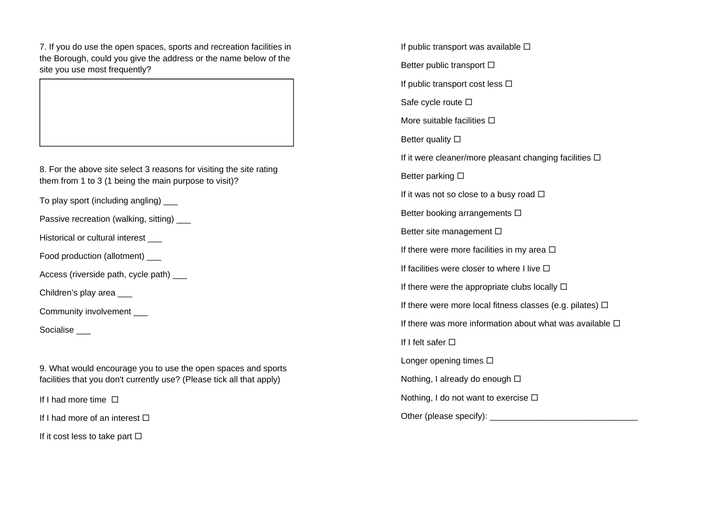7. If you do use the open spaces, sports and recreation facilities in the Borough, could you give the address or the name below of the site you use most frequently?

8. For the above site select 3 reasons for visiting the site rating them from 1 to 3 (1 being the main purpose to visit)?

To play sport (including angling) \_\_\_

Passive recreation (walking, sitting) \_\_\_

Historical or cultural interest \_\_\_

Food production (allotment) \_\_\_

Access (riverside path, cycle path) \_\_\_

Children's play area \_\_\_

Community involvement

Socialise \_\_\_

9. What would encourage you to use the open spaces and sports facilities that you don't currently use? (Please tick all that apply)

If I had more time  $\Box$ 

If I had more of an interest  $\Box$ 

If it cost less to take part  $\Box$ 

If public transport was available  $\square$ Better public transport  $\Box$ If public transport cost less  $\Box$ Safe cycle route  $\square$ More suitable facilities  $\Box$ Better quality  $\square$ If it were cleaner/more pleasant changing facilities  $\square$ Better parking  $\square$ If it was not so close to a busy road  $\Box$ Better booking arrangements  $\square$ Better site management  $\square$ If there were more facilities in my area  $\Box$ If facilities were closer to where I live  $\Box$ If there were the appropriate clubs locally  $\Box$ If there were more local fitness classes (e.g. pilates)  $\Box$ If there was more information about what was available  $\square$ If I felt safer  $\square$ Longer opening times  $\Box$ Nothing, I already do enough  $\Box$ Nothing, I do not want to exercise  $\Box$ Other (please specify): \_\_\_\_\_\_\_\_\_\_\_\_\_\_\_\_\_\_\_\_\_\_\_\_\_\_\_\_\_\_\_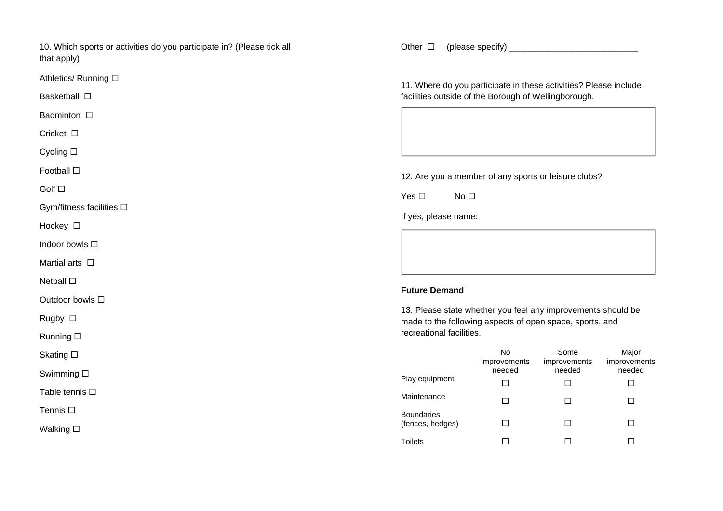10. Which sports or activities do you participate in? (Please tick all that apply)

Athletics/ Running ロ

Basketball □

Badminton □

Cricket ロ

Cycling ⊡

Football **⊡** 

Golf ⊡

Gym/fitness facilities

Hockey □

Indoor bowls ⊡

Martial arts  $\, \Box \,$ 

Netball **⊡** 

Outdoor bowls ⊡

Rugby □

Running □

Skating ⊡

Swimming

Table tennis ⊟

Tennis **⊡** 

Walking **□** 

Other □ (please specify) \_\_\_\_\_\_\_\_\_\_\_\_\_\_\_\_\_\_\_\_\_\_\_\_\_\_\_\_\_\_\_\_\_

11. Where do you participate in these activities? Please include facilities outside of the Borough of Wellingborough.

12. Are you a member of any sports or leisure clubs?

Yes  $\square$  $\square$  No  $\square$ 

If yes, please name:

## **Future Demand**

13. Please state whether you feel any improvements should be made to the following aspects of open space, sports, and recreational facilities.

|                                       | No<br>improvements<br>needed | Some<br>improvements<br>needed | Major<br>improvements<br>needed |
|---------------------------------------|------------------------------|--------------------------------|---------------------------------|
| Play equipment                        |                              |                                |                                 |
| Maintenance                           |                              |                                |                                 |
| <b>Boundaries</b><br>(fences, hedges) |                              |                                |                                 |
| <b>Toilets</b>                        |                              |                                |                                 |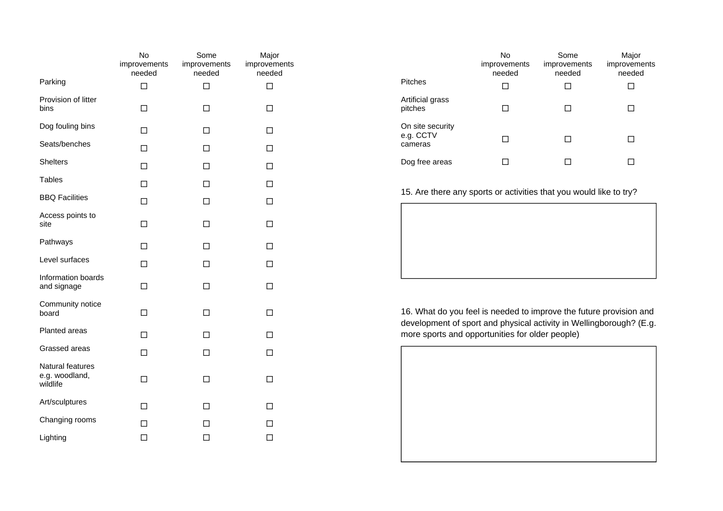|                                                | No<br>improvements<br>needed | Some<br>improvements<br>needed | Major<br>improvements<br>needed |
|------------------------------------------------|------------------------------|--------------------------------|---------------------------------|
| Parking                                        | П                            | П                              | П                               |
| Provision of litter<br>bins                    | П                            | П                              | П                               |
| Dog fouling bins                               | п                            | П                              | П                               |
| Seats/benches                                  | П                            | П                              | П                               |
| <b>Shelters</b>                                | П                            | П                              | П                               |
| <b>Tables</b>                                  | П                            | П                              | П                               |
| <b>BBQ Facilities</b>                          | п                            | п                              | п                               |
| Access points to<br>site                       | □                            | □                              | □                               |
| Pathways                                       | П                            | □                              | П                               |
| Level surfaces                                 | □                            | □                              | П                               |
| Information boards<br>and signage              | П                            | □                              | П                               |
| Community notice<br>board                      | П                            | п                              | п                               |
| Planted areas                                  | П                            | П                              | П                               |
| Grassed areas                                  | П                            | П                              | П                               |
| Natural features<br>e.g. woodland,<br>wildlife | П                            | П                              | ΙI                              |
| Art/sculptures                                 | п                            | п                              | ΙI                              |
| Changing rooms                                 | П                            | ΙI                             | ΙI                              |
| Lighting                                       | □                            | □                              | □                               |

|                                          | No<br>improvements<br>needed | Some<br>improvements<br>needed | Major<br>improvements<br>needed |
|------------------------------------------|------------------------------|--------------------------------|---------------------------------|
| <b>Pitches</b>                           |                              |                                |                                 |
| Artificial grass<br>pitches              |                              |                                |                                 |
| On site security<br>e.g. CCTV<br>cameras |                              |                                |                                 |
| Dog free areas                           |                              |                                |                                 |

15. Are there any sports or activities that you would like to try?

16. What do you feel is needed to improve the future provision and development of sport and physical activity in Wellingborough? (E.g. more sports and opportunities for older people)